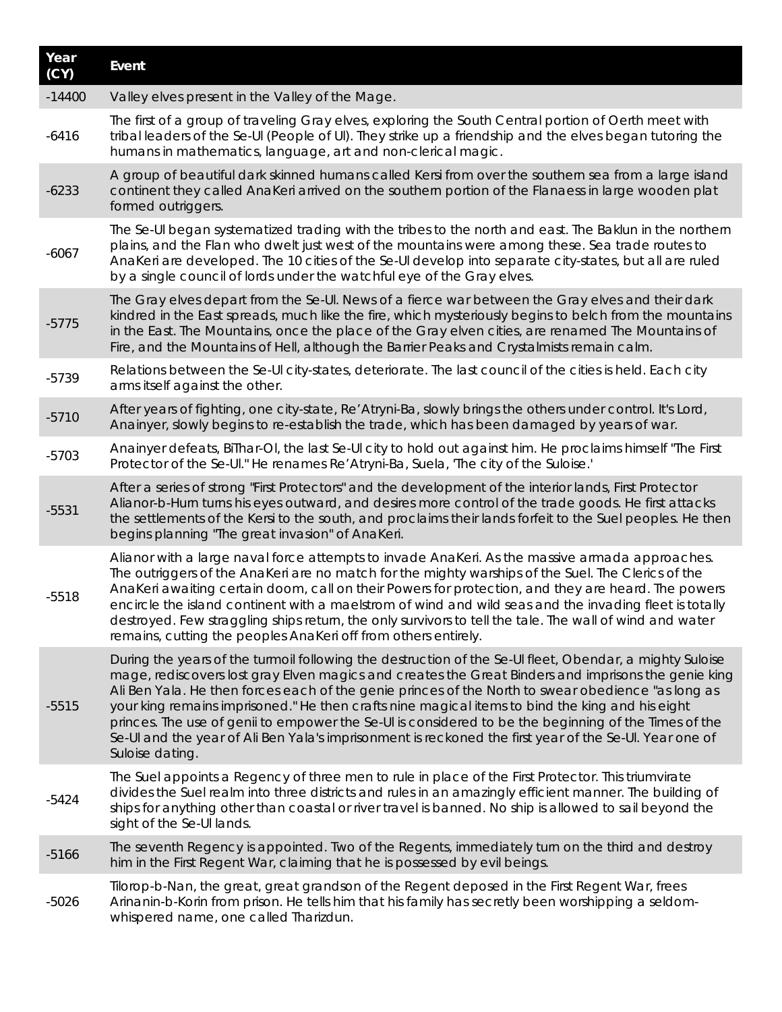| Year<br>(CY) | Event                                                                                                                                                                                                                                                                                                                                                                                                                                                                                                                                                                                                                                                        |
|--------------|--------------------------------------------------------------------------------------------------------------------------------------------------------------------------------------------------------------------------------------------------------------------------------------------------------------------------------------------------------------------------------------------------------------------------------------------------------------------------------------------------------------------------------------------------------------------------------------------------------------------------------------------------------------|
| $-14400$     | Valley elves present in the Valley of the Mage.                                                                                                                                                                                                                                                                                                                                                                                                                                                                                                                                                                                                              |
| $-6416$      | The first of a group of traveling Gray elves, exploring the South Central portion of Oerth meet with<br>tribal leaders of the Se-UI (People of UI). They strike up a friendship and the elves began tutoring the<br>humans in mathematics, language, art and non-clerical magic.                                                                                                                                                                                                                                                                                                                                                                             |
| $-6233$      | A group of beautiful dark skinned humans called Kersi from over the southern sea from a large island<br>continent they called AnaKeri arrived on the southern portion of the Flanaess in large wooden plat<br>formed outriggers.                                                                                                                                                                                                                                                                                                                                                                                                                             |
| $-6067$      | The Se-UI began systematized trading with the tribes to the north and east. The Baklun in the northern<br>plains, and the Flan who dwelt just west of the mountains were among these. Sea trade routes to<br>AnaKeri are developed. The 10 cities of the Se-UI develop into separate city-states, but all are ruled<br>by a single council of lords under the watchful eye of the Gray elves.                                                                                                                                                                                                                                                                |
| $-5775$      | The Gray elves depart from the Se-Ul. News of a fierce war between the Gray elves and their dark<br>kindred in the East spreads, much like the fire, which mysteriously begins to belch from the mountains<br>in the East. The Mountains, once the place of the Gray elven cities, are renamed The Mountains of<br>Fire, and the Mountains of Hell, although the Barrier Peaks and Crystalmists remain calm.                                                                                                                                                                                                                                                 |
| $-5739$      | Relations between the Se-UI city-states, deteriorate. The last council of the cities is held. Each city<br>arms itself against the other.                                                                                                                                                                                                                                                                                                                                                                                                                                                                                                                    |
| $-5710$      | After years of fighting, one city-state, Re' Atryni-Ba, slowly brings the others under control. It's Lord,<br>Anainyer, slowly begins to re-establish the trade, which has been damaged by years of war.                                                                                                                                                                                                                                                                                                                                                                                                                                                     |
| $-5703$      | Anainyer defeats, BiThar-OI, the last Se-UI city to hold out against him. He proclaims himself "The First<br>Protector of the Se-UI." He renames Re' Atryni-Ba, Suela, 'The city of the Suloise.'                                                                                                                                                                                                                                                                                                                                                                                                                                                            |
| $-5531$      | After a series of strong "First Protectors" and the development of the interior lands, First Protector<br>Alianor-b-Hurn turns his eyes outward, and desires more control of the trade goods. He first attacks<br>the settlements of the Kersi to the south, and proclaims their lands forfeit to the Suel peoples. He then<br>begins planning "The great invasion" of AnaKeri.                                                                                                                                                                                                                                                                              |
| $-5518$      | Alianor with a large naval force attempts to invade AnaKeri. As the massive armada approaches.<br>The outriggers of the AnaKeri are no match for the mighty warships of the Suel. The Clerics of the<br>AnaKeri awaiting certain doom, call on their Powers for protection, and they are heard. The powers<br>encircle the island continent with a maelstrom of wind and wild seas and the invading fleet is totally<br>destroyed. Few straggling ships return, the only survivors to tell the tale. The wall of wind and water<br>remains, cutting the peoples AnaKeri off from others entirely.                                                            |
| $-5515$      | During the years of the turmoil following the destruction of the Se-UI fleet, Obendar, a mighty Suloise<br>mage, rediscovers lost gray Elven magics and creates the Great Binders and imprisons the genie king<br>Ali Ben Yala. He then forces each of the genie princes of the North to swear obedience "as long as<br>your king remains imprisoned." He then crafts nine magical items to bind the king and his eight<br>princes. The use of genii to empower the Se-UI is considered to be the beginning of the Times of the<br>Se-Ul and the year of Ali Ben Yala's imprisonment is reckoned the first year of the Se-Ul. Year one of<br>Suloise dating. |
| $-5424$      | The Suel appoints a Regency of three men to rule in place of the First Protector. This triumvirate<br>divides the Suel realm into three districts and rules in an amazingly efficient manner. The building of<br>ships for anything other than coastal or river travel is banned. No ship is allowed to sail beyond the<br>sight of the Se-UI lands.                                                                                                                                                                                                                                                                                                         |
| $-5166$      | The seventh Regency is appointed. Two of the Regents, immediately turn on the third and destroy<br>him in the First Regent War, claiming that he is possessed by evil beings.                                                                                                                                                                                                                                                                                                                                                                                                                                                                                |
| $-5026$      | Tilorop-b-Nan, the great, great grandson of the Regent deposed in the First Regent War, frees<br>Arinanin-b-Korin from prison. He tells him that his family has secretly been worshipping a seldom-<br>whispered name, one called Tharizdun.                                                                                                                                                                                                                                                                                                                                                                                                                 |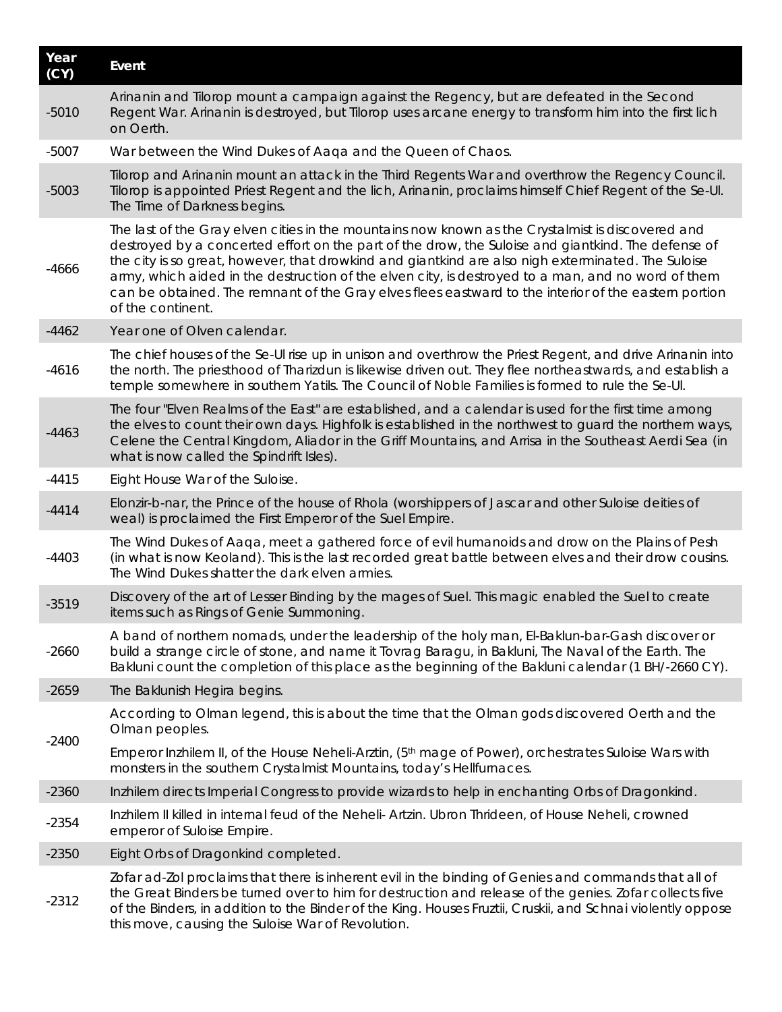| Year<br>(CY) | Event                                                                                                                                                                                                                                                                                                                                                                                                                                                                                                                                            |
|--------------|--------------------------------------------------------------------------------------------------------------------------------------------------------------------------------------------------------------------------------------------------------------------------------------------------------------------------------------------------------------------------------------------------------------------------------------------------------------------------------------------------------------------------------------------------|
| $-5010$      | Arinanin and Tilorop mount a campaign against the Regency, but are defeated in the Second<br>Regent War. Arinanin is destroyed, but Tilorop uses arcane energy to transform him into the first lich<br>on Oerth.                                                                                                                                                                                                                                                                                                                                 |
| $-5007$      | War between the Wind Dukes of Aaqa and the Queen of Chaos.                                                                                                                                                                                                                                                                                                                                                                                                                                                                                       |
| $-5003$      | Tilorop and Arinanin mount an attack in the Third Regents War and overthrow the Regency Council.<br>Tilorop is appointed Priest Regent and the lich, Arinanin, proclaims himself Chief Regent of the Se-Ul.<br>The Time of Darkness begins.                                                                                                                                                                                                                                                                                                      |
| $-4666$      | The last of the Gray elven cities in the mountains now known as the Crystalmist is discovered and<br>destroyed by a concerted effort on the part of the drow, the Suloise and giantkind. The defense of<br>the city is so great, however, that drowkind and giantkind are also nigh exterminated. The Suloise<br>army, which aided in the destruction of the elven city, is destroyed to a man, and no word of them<br>can be obtained. The remnant of the Gray elves flees eastward to the interior of the eastern portion<br>of the continent. |
| $-4462$      | Year one of Olven calendar.                                                                                                                                                                                                                                                                                                                                                                                                                                                                                                                      |
| $-4616$      | The chief houses of the Se-UI rise up in unison and overthrow the Priest Regent, and drive Arinanin into<br>the north. The priesthood of Tharizdun is likewise driven out. They flee northeastwards, and establish a<br>temple somewhere in southern Yatils. The Council of Noble Families is formed to rule the Se-Ul.                                                                                                                                                                                                                          |
| $-4463$      | The four "Elven Realms of the East" are established, and a calendar is used for the first time among<br>the elves to count their own days. Highfolk is established in the northwest to guard the northern ways,<br>Celene the Central Kingdom, Aliador in the Griff Mountains, and Arrisa in the Southeast Aerdi Sea (in<br>what is now called the Spindrift Isles).                                                                                                                                                                             |
| $-4415$      | Eight House War of the Suloise.                                                                                                                                                                                                                                                                                                                                                                                                                                                                                                                  |
| $-4414$      | Elonzir-b-nar, the Prince of the house of Rhola (worshippers of Jascar and other Suloise deities of<br>weal) is proclaimed the First Emperor of the Suel Empire.                                                                                                                                                                                                                                                                                                                                                                                 |
| $-4403$      | The Wind Dukes of Aaqa, meet a gathered force of evil humanoids and drow on the Plains of Pesh<br>(in what is now Keoland). This is the last recorded great battle between elves and their drow cousins.<br>The Wind Dukes shatter the dark elven armies.                                                                                                                                                                                                                                                                                        |
| $-3519$      | Discovery of the art of Lesser Binding by the mages of Suel. This magic enabled the Suel to create<br>items such as Rings of Genie Summoning.                                                                                                                                                                                                                                                                                                                                                                                                    |
| $-2660$      | A band of northern nomads, under the leadership of the holy man, El-Baklun-bar-Gash discover or<br>build a strange circle of stone, and name it Tovrag Baragu, in Bakluni, The Naval of the Earth. The<br>Bakluni count the completion of this place as the beginning of the Bakluni calendar (1 BH/-2660 CY).                                                                                                                                                                                                                                   |
| $-2659$      | The Baklunish Hegira begins.                                                                                                                                                                                                                                                                                                                                                                                                                                                                                                                     |
| $-2400$      | According to Olman legend, this is about the time that the Olman gods discovered Oerth and the<br>Olman peoples.                                                                                                                                                                                                                                                                                                                                                                                                                                 |
|              | Emperor Inzhilem II, of the House Neheli-Arztin, (5 <sup>th</sup> mage of Power), orchestrates Suloise Wars with<br>monsters in the southern Crystalmist Mountains, today's Hellfurnaces.                                                                                                                                                                                                                                                                                                                                                        |
| $-2360$      | Inzhilem directs Imperial Congress to provide wizards to help in enchanting Orbs of Dragonkind.                                                                                                                                                                                                                                                                                                                                                                                                                                                  |
| $-2354$      | Inzhilem II killed in internal feud of the Neheli- Artzin. Ubron Thrideen, of House Neheli, crowned<br>emperor of Suloise Empire.                                                                                                                                                                                                                                                                                                                                                                                                                |
| $-2350$      | Eight Orbs of Dragonkind completed.                                                                                                                                                                                                                                                                                                                                                                                                                                                                                                              |
| $-2312$      | Zofar ad-Zol proclaims that there is inherent evil in the binding of Genies and commands that all of<br>the Great Binders be turned over to him for destruction and release of the genies. Zofar collects five<br>of the Binders, in addition to the Binder of the King. Houses Fruztii, Cruskii, and Schnai violently oppose<br>this move, causing the Suloise War of Revolution.                                                                                                                                                               |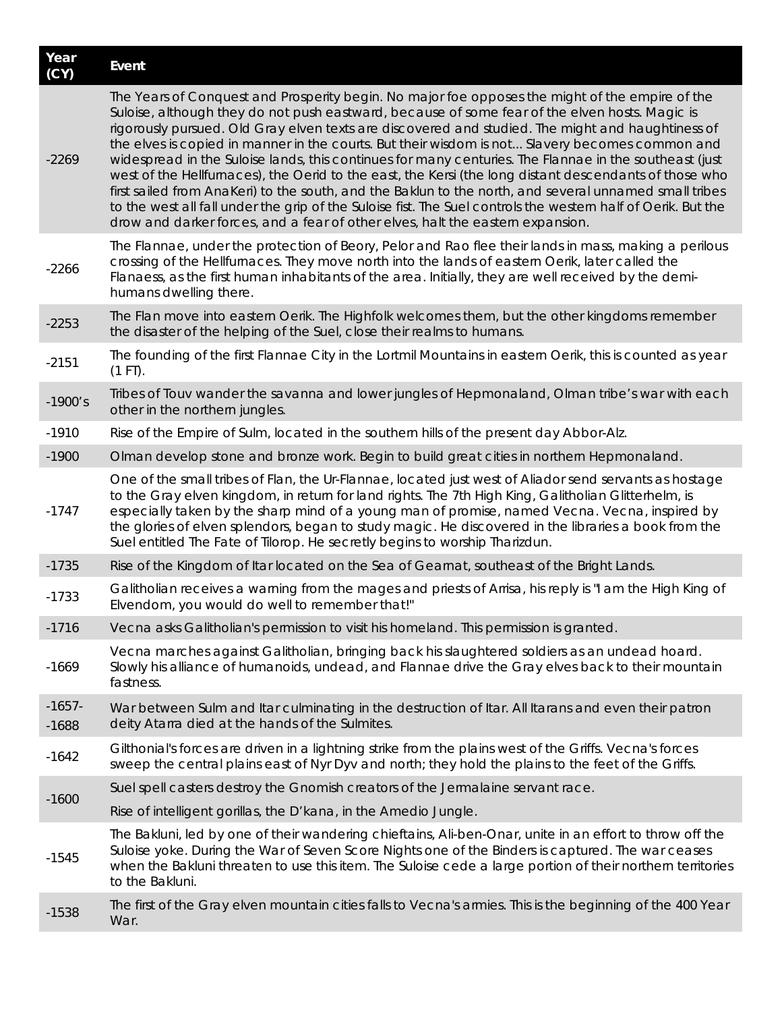| Year<br>(CY)        | Event                                                                                                                                                                                                                                                                                                                                                                                                                                                                                                                                                                                                                                                                                                                                                                                                                                                                                                                                      |
|---------------------|--------------------------------------------------------------------------------------------------------------------------------------------------------------------------------------------------------------------------------------------------------------------------------------------------------------------------------------------------------------------------------------------------------------------------------------------------------------------------------------------------------------------------------------------------------------------------------------------------------------------------------------------------------------------------------------------------------------------------------------------------------------------------------------------------------------------------------------------------------------------------------------------------------------------------------------------|
| $-2269$             | The Years of Conquest and Prosperity begin. No major foe opposes the might of the empire of the<br>Suloise, although they do not push eastward, because of some fear of the elven hosts. Magic is<br>rigorously pursued. Old Gray elven texts are discovered and studied. The might and haughtiness of<br>the elves is copied in manner in the courts. But their wisdom is not Slavery becomes common and<br>widespread in the Suloise lands, this continues for many centuries. The Flannae in the southeast (just<br>west of the Hellfurnaces), the Oerid to the east, the Kersi (the long distant descendants of those who<br>first sailed from AnaKeri) to the south, and the Baklun to the north, and several unnamed small tribes<br>to the west all fall under the grip of the Suloise fist. The Suel controls the western half of Oerik. But the<br>drow and darker forces, and a fear of other elves, halt the eastern expansion. |
| $-2266$             | The Flannae, under the protection of Beory, Pelor and Rao flee their lands in mass, making a perilous<br>crossing of the Hellfurnaces. They move north into the lands of eastern Oerik, later called the<br>Flanaess, as the first human inhabitants of the area. Initially, they are well received by the demi-<br>humans dwelling there.                                                                                                                                                                                                                                                                                                                                                                                                                                                                                                                                                                                                 |
| $-2253$             | The Flan move into eastern Oerik. The Highfolk welcomes them, but the other kingdoms remember<br>the disaster of the helping of the Suel, close their realms to humans.                                                                                                                                                                                                                                                                                                                                                                                                                                                                                                                                                                                                                                                                                                                                                                    |
| $-2151$             | The founding of the first Flannae City in the Lortmil Mountains in eastern Oerik, this is counted as year<br>$(1 FT)$ .                                                                                                                                                                                                                                                                                                                                                                                                                                                                                                                                                                                                                                                                                                                                                                                                                    |
| $-1900's$           | Tribes of Touv wander the savanna and lower jungles of Hepmonaland, Olman tribe's war with each<br>other in the northern jungles.                                                                                                                                                                                                                                                                                                                                                                                                                                                                                                                                                                                                                                                                                                                                                                                                          |
| $-1910$             | Rise of the Empire of Sulm, located in the southern hills of the present day Abbor-Alz.                                                                                                                                                                                                                                                                                                                                                                                                                                                                                                                                                                                                                                                                                                                                                                                                                                                    |
| $-1900$             | Olman develop stone and bronze work. Begin to build great cities in northern Hepmonaland.                                                                                                                                                                                                                                                                                                                                                                                                                                                                                                                                                                                                                                                                                                                                                                                                                                                  |
| $-1747$             | One of the small tribes of Flan, the Ur-Flannae, located just west of Aliador send servants as hostage<br>to the Gray elven kingdom, in return for land rights. The 7th High King, Galitholian Glitterhelm, is<br>especially taken by the sharp mind of a young man of promise, named Vecna. Vecna, inspired by<br>the glories of elven splendors, began to study magic. He discovered in the libraries a book from the<br>Suel entitled The Fate of Tilorop. He secretly begins to worship Tharizdun.                                                                                                                                                                                                                                                                                                                                                                                                                                     |
| $-1735$             | Rise of the Kingdom of Itar located on the Sea of Gearnat, southeast of the Bright Lands.                                                                                                                                                                                                                                                                                                                                                                                                                                                                                                                                                                                                                                                                                                                                                                                                                                                  |
| $-1733$             | Galitholian receives a warning from the mages and priests of Arrisa, his reply is "I am the High King of<br>Elvendom, you would do well to remember that!"                                                                                                                                                                                                                                                                                                                                                                                                                                                                                                                                                                                                                                                                                                                                                                                 |
| $-1716$             | Vecna asks Galitholian's permission to visit his homeland. This permission is granted.                                                                                                                                                                                                                                                                                                                                                                                                                                                                                                                                                                                                                                                                                                                                                                                                                                                     |
| $-1669$             | Vecna marches against Galitholian, bringing back his slaughtered soldiers as an undead hoard.<br>Slowly his alliance of humanoids, undead, and Flannae drive the Gray elves back to their mountain<br>fastness.                                                                                                                                                                                                                                                                                                                                                                                                                                                                                                                                                                                                                                                                                                                            |
| $-1657-$<br>$-1688$ | War between Sulm and Itar culminating in the destruction of Itar. All Itarans and even their patron<br>deity Atarra died at the hands of the Sulmites.                                                                                                                                                                                                                                                                                                                                                                                                                                                                                                                                                                                                                                                                                                                                                                                     |
| $-1642$             | Gilthonial's forces are driven in a lightning strike from the plains west of the Griffs. Vecna's forces<br>sweep the central plains east of Nyr Dyv and north; they hold the plains to the feet of the Griffs.                                                                                                                                                                                                                                                                                                                                                                                                                                                                                                                                                                                                                                                                                                                             |
|                     | Suel spell casters destroy the Gnomish creators of the Jermalaine servant race.                                                                                                                                                                                                                                                                                                                                                                                                                                                                                                                                                                                                                                                                                                                                                                                                                                                            |
| $-1600$             | Rise of intelligent gorillas, the D'kana, in the Amedio Jungle.                                                                                                                                                                                                                                                                                                                                                                                                                                                                                                                                                                                                                                                                                                                                                                                                                                                                            |
| $-1545$             | The Bakluni, led by one of their wandering chieftains, Ali-ben-Onar, unite in an effort to throw off the<br>Suloise yoke. During the War of Seven Score Nights one of the Binders is captured. The war ceases<br>when the Bakluni threaten to use this item. The Suloise cede a large portion of their northern territories<br>to the Bakluni.                                                                                                                                                                                                                                                                                                                                                                                                                                                                                                                                                                                             |
| $-1538$             | The first of the Gray elven mountain cities falls to Vecna's armies. This is the beginning of the 400 Year<br>War.                                                                                                                                                                                                                                                                                                                                                                                                                                                                                                                                                                                                                                                                                                                                                                                                                         |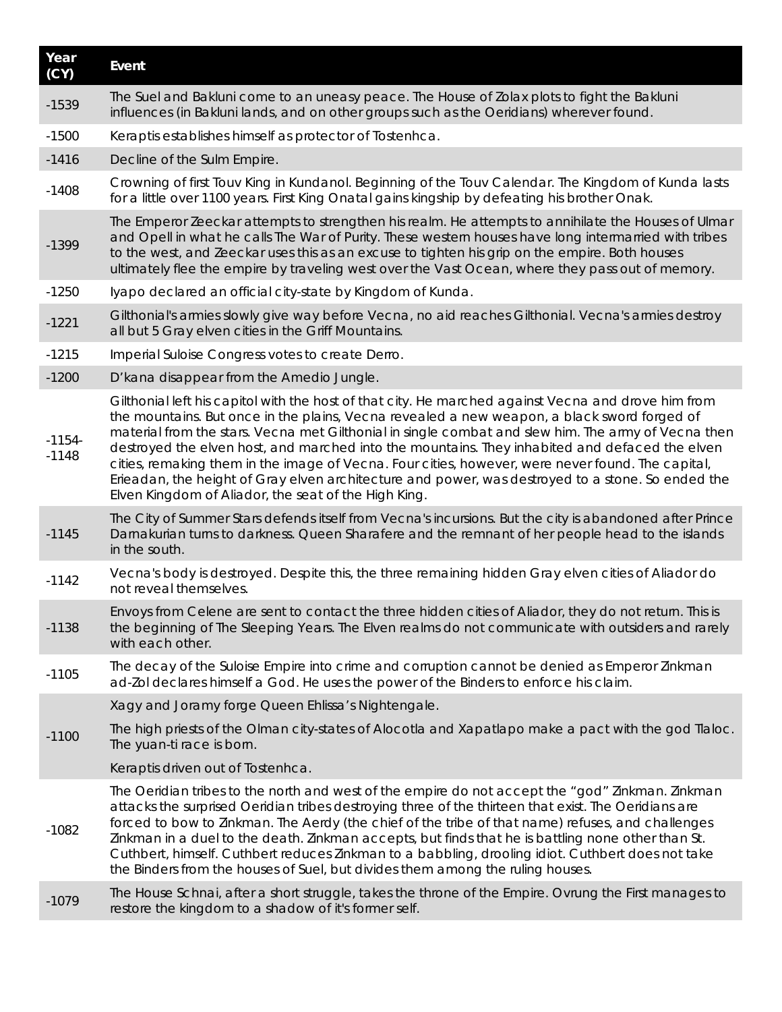| Year<br>(CY)        | Event                                                                                                                                                                                                                                                                                                                                                                                                                                                                                                                                                                                                                                                                         |
|---------------------|-------------------------------------------------------------------------------------------------------------------------------------------------------------------------------------------------------------------------------------------------------------------------------------------------------------------------------------------------------------------------------------------------------------------------------------------------------------------------------------------------------------------------------------------------------------------------------------------------------------------------------------------------------------------------------|
| $-1539$             | The Suel and Bakluni come to an uneasy peace. The House of Zolax plots to fight the Bakluni<br>influences (in Bakluni lands, and on other groups such as the Oeridians) wherever found.                                                                                                                                                                                                                                                                                                                                                                                                                                                                                       |
| $-1500$             | Keraptis establishes himself as protector of Tostenhca.                                                                                                                                                                                                                                                                                                                                                                                                                                                                                                                                                                                                                       |
| $-1416$             | Decline of the Sulm Empire.                                                                                                                                                                                                                                                                                                                                                                                                                                                                                                                                                                                                                                                   |
| $-1408$             | Crowning of first Touv King in Kundanol. Beginning of the Touv Calendar. The Kingdom of Kunda lasts<br>for a little over 1100 years. First King Onatal gains kingship by defeating his brother Onak.                                                                                                                                                                                                                                                                                                                                                                                                                                                                          |
| $-1399$             | The Emperor Zeeckar attempts to strengthen his realm. He attempts to annihilate the Houses of Ulmar<br>and Opell in what he calls The War of Purity. These western houses have long intermarried with tribes<br>to the west, and Zeeckar uses this as an excuse to tighten his grip on the empire. Both houses<br>ultimately flee the empire by traveling west over the Vast Ocean, where they pass out of memory.                                                                                                                                                                                                                                                            |
| $-1250$             | Iyapo declared an official city-state by Kingdom of Kunda.                                                                                                                                                                                                                                                                                                                                                                                                                                                                                                                                                                                                                    |
| $-1221$             | Gilthonial's armies slowly give way before Vecna, no aid reaches Gilthonial. Vecna's armies destroy<br>all but 5 Gray elven cities in the Griff Mountains.                                                                                                                                                                                                                                                                                                                                                                                                                                                                                                                    |
| $-1215$             | Imperial Suloise Congress votes to create Derro.                                                                                                                                                                                                                                                                                                                                                                                                                                                                                                                                                                                                                              |
| $-1200$             | D'kana disappear from the Amedio Jungle.                                                                                                                                                                                                                                                                                                                                                                                                                                                                                                                                                                                                                                      |
| $-1154-$<br>$-1148$ | Gilthonial left his capitol with the host of that city. He marched against Vecna and drove him from<br>the mountains. But once in the plains, Vecna revealed a new weapon, a black sword forged of<br>material from the stars. Vecna met Gilthonial in single combat and slew him. The army of Vecna then<br>destroyed the elven host, and marched into the mountains. They inhabited and defaced the elven<br>cities, remaking them in the image of Vecna. Four cities, however, were never found. The capital,<br>Erieadan, the height of Gray elven architecture and power, was destroyed to a stone. So ended the<br>Elven Kingdom of Aliador, the seat of the High King. |
| $-1145$             | The City of Summer Stars defends itself from Vecna's incursions. But the city is abandoned after Prince<br>Darnakurian turns to darkness. Queen Sharafere and the remnant of her people head to the islands<br>in the south.                                                                                                                                                                                                                                                                                                                                                                                                                                                  |
| $-1142$             | Vecna's body is destroyed. Despite this, the three remaining hidden Gray elven cities of Aliador do<br>not reveal themselves.                                                                                                                                                                                                                                                                                                                                                                                                                                                                                                                                                 |
| $-1138$             | Envoys from Celene are sent to contact the three hidden cities of Aliador, they do not return. This is<br>the beginning of The Sleeping Years. The Elven realms do not communicate with outsiders and rarely<br>with each other.                                                                                                                                                                                                                                                                                                                                                                                                                                              |
| $-1105$             | The decay of the Suloise Empire into crime and corruption cannot be denied as Emperor Zinkman<br>ad-Zol declares himself a God. He uses the power of the Binders to enforce his claim.                                                                                                                                                                                                                                                                                                                                                                                                                                                                                        |
|                     | Xagy and Joramy forge Queen Ehlissa's Nightengale.                                                                                                                                                                                                                                                                                                                                                                                                                                                                                                                                                                                                                            |
| $-1100$             | The high priests of the Olman city-states of Alocotla and Xapatlapo make a pact with the god Tlaloc.<br>The yuan-ti race is born.                                                                                                                                                                                                                                                                                                                                                                                                                                                                                                                                             |
|                     | Keraptis driven out of Tostenhca.                                                                                                                                                                                                                                                                                                                                                                                                                                                                                                                                                                                                                                             |
| $-1082$             | The Oeridian tribes to the north and west of the empire do not accept the "god" Zinkman. Zinkman<br>attacks the surprised Oeridian tribes destroying three of the thirteen that exist. The Oeridians are<br>forced to bow to Zinkman. The Aerdy (the chief of the tribe of that name) refuses, and challenges<br>Zinkman in a duel to the death. Zinkman accepts, but finds that he is battling none other than St.<br>Cuthbert, himself. Cuthbert reduces Zinkman to a babbling, drooling idiot. Cuthbert does not take<br>the Binders from the houses of Suel, but divides them among the ruling houses.                                                                    |
| $-1079$             | The House Schnai, after a short struggle, takes the throne of the Empire. Ovrung the First manages to<br>restore the kingdom to a shadow of it's former self.                                                                                                                                                                                                                                                                                                                                                                                                                                                                                                                 |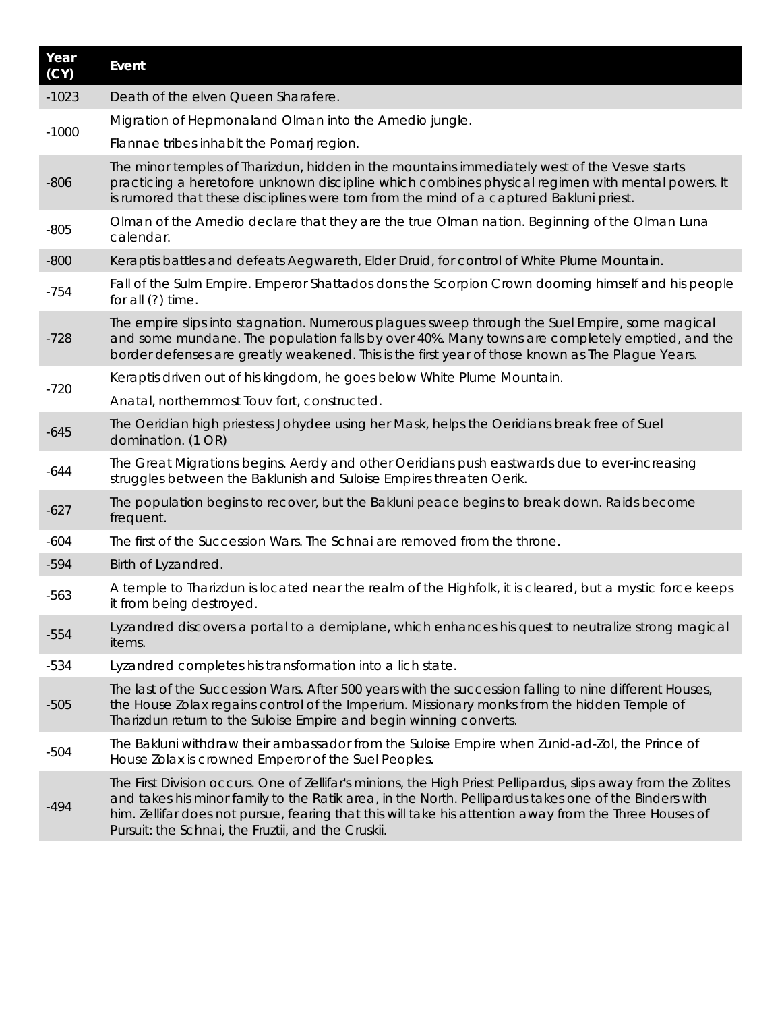| Year<br>(CY) | Event                                                                                                                                                                                                                                                                                                                                                                                   |
|--------------|-----------------------------------------------------------------------------------------------------------------------------------------------------------------------------------------------------------------------------------------------------------------------------------------------------------------------------------------------------------------------------------------|
| $-1023$      | Death of the elven Queen Sharafere.                                                                                                                                                                                                                                                                                                                                                     |
| $-1000$      | Migration of Hepmonaland Olman into the Amedio jungle.                                                                                                                                                                                                                                                                                                                                  |
|              | Flannae tribes inhabit the Pomarj region.                                                                                                                                                                                                                                                                                                                                               |
| $-806$       | The minor temples of Tharizdun, hidden in the mountains immediately west of the Vesve starts<br>practicing a heretofore unknown discipline which combines physical regimen with mental powers. It<br>is rumored that these disciplines were torn from the mind of a captured Bakluni priest.                                                                                            |
| $-805$       | Olman of the Amedio declare that they are the true Olman nation. Beginning of the Olman Luna<br>calendar.                                                                                                                                                                                                                                                                               |
| $-800$       | Keraptis battles and defeats Aegwareth, Elder Druid, for control of White Plume Mountain.                                                                                                                                                                                                                                                                                               |
| $-754$       | Fall of the Sulm Empire. Emperor Shattados dons the Scorpion Crown dooming himself and his people<br>for all (?) time.                                                                                                                                                                                                                                                                  |
| $-728$       | The empire slips into stagnation. Numerous plagues sweep through the Suel Empire, some magical<br>and some mundane. The population falls by over 40%. Many towns are completely emptied, and the<br>border defenses are greatly weakened. This is the first year of those known as The Plague Years.                                                                                    |
| $-720$       | Keraptis driven out of his kingdom, he goes below White Plume Mountain.                                                                                                                                                                                                                                                                                                                 |
|              | Anatal, northernmost Touv fort, constructed.                                                                                                                                                                                                                                                                                                                                            |
| $-645$       | The Oeridian high priestess Johydee using her Mask, helps the Oeridians break free of Suel<br>domination. (1 OR)                                                                                                                                                                                                                                                                        |
| $-644$       | The Great Migrations begins. Aerdy and other Oeridians push eastwards due to ever-increasing<br>struggles between the Baklunish and Suloise Empires threaten Oerik.                                                                                                                                                                                                                     |
| $-627$       | The population begins to recover, but the Bakluni peace begins to break down. Raids become<br>frequent.                                                                                                                                                                                                                                                                                 |
| $-604$       | The first of the Succession Wars. The Schnai are removed from the throne.                                                                                                                                                                                                                                                                                                               |
| $-594$       | Birth of Lyzandred.                                                                                                                                                                                                                                                                                                                                                                     |
| $-563$       | A temple to <i>Tharizdun</i> is located near the realm of the Highfolk, it is cleared, but a mystic force keeps<br>it from being destroyed.                                                                                                                                                                                                                                             |
| $-554$       | Lyzandred discovers a portal to a demiplane, which enhances his quest to neutralize strong magical<br>items.                                                                                                                                                                                                                                                                            |
| $-534$       | Lyzandred completes his transformation into a lich state.                                                                                                                                                                                                                                                                                                                               |
| $-505$       | The last of the Succession Wars. After 500 years with the succession falling to nine different Houses,<br>the House Zolax regains control of the Imperium. Missionary monks from the hidden Temple of<br>Tharizdun return to the Suloise Empire and begin winning converts.                                                                                                             |
| $-504$       | The Bakluni withdraw their ambassador from the Suloise Empire when Zunid-ad-Zol, the Prince of<br>House Zolax is crowned Emperor of the Suel Peoples.                                                                                                                                                                                                                                   |
| $-494$       | The First Division occurs. One of Zellifar's minions, the High Priest Pellipardus, slips away from the Zolites<br>and takes his minor family to the Ratik area, in the North. Pellipardus takes one of the Binders with<br>him. Zellifar does not pursue, fearing that this will take his attention away from the Three Houses of<br>Pursuit: the Schnai, the Fruztii, and the Cruskii. |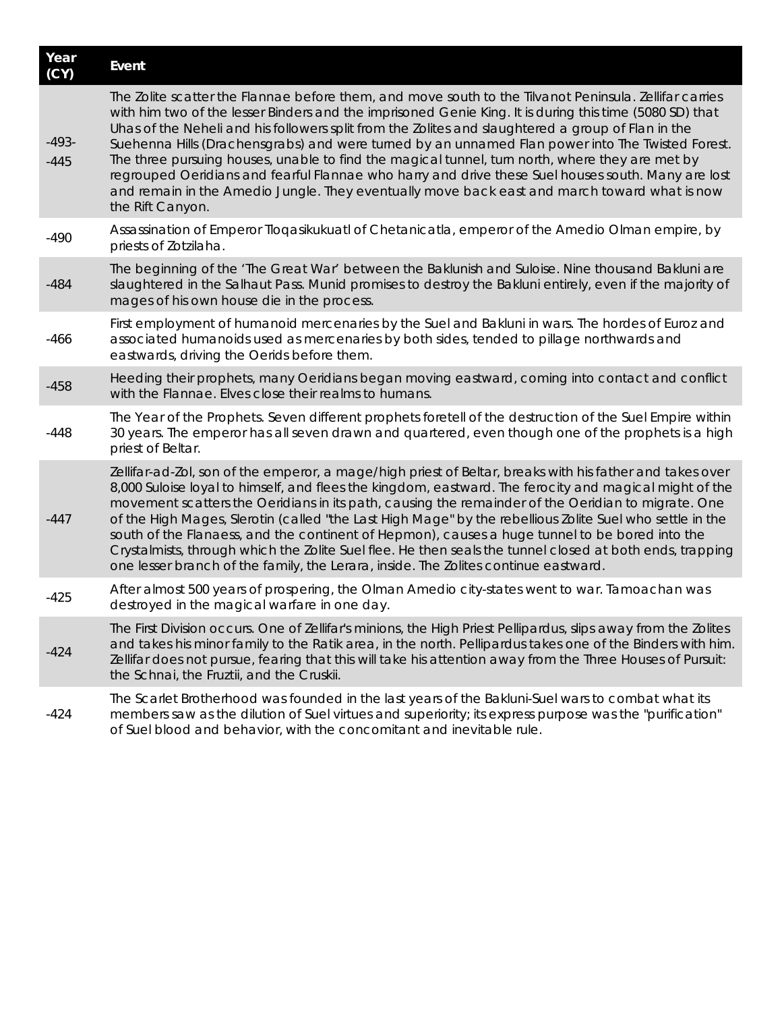| Year<br>(CY)      | Event                                                                                                                                                                                                                                                                                                                                                                                                                                                                                                                                                                                                                                                                                                                                                    |
|-------------------|----------------------------------------------------------------------------------------------------------------------------------------------------------------------------------------------------------------------------------------------------------------------------------------------------------------------------------------------------------------------------------------------------------------------------------------------------------------------------------------------------------------------------------------------------------------------------------------------------------------------------------------------------------------------------------------------------------------------------------------------------------|
| $-493-$<br>$-445$ | The Zolite scatter the Flannae before them, and move south to the Tilvanot Peninsula. Zellifar carries<br>with him two of the lesser Binders and the imprisoned Genie King. It is during this time (5080 SD) that<br>Uhas of the Neheli and his followers split from the Zolites and slaughtered a group of Flan in the<br>Suehenna Hills (Drachensgrabs) and were turned by an unnamed Flan power into The Twisted Forest.<br>The three pursuing houses, unable to find the magical tunnel, turn north, where they are met by<br>regrouped Oeridians and fearful Flannae who harry and drive these Suel houses south. Many are lost<br>and remain in the Amedio Jungle. They eventually move back east and march toward what is now<br>the Rift Canyon. |
| $-490$            | Assassination of Emperor Tloqasikukuatl of Chetanicatla, emperor of the Amedio Olman empire, by<br>priests of Zotzilaha.                                                                                                                                                                                                                                                                                                                                                                                                                                                                                                                                                                                                                                 |
| $-484$            | The beginning of the ' <i>The Great War'</i> between the Baklunish and Suloise. Nine thousand Bakluni are<br>slaughtered in the Salhaut Pass. Munid promises to destroy the Bakluni entirely, even if the majority of<br>mages of his own house die in the process.                                                                                                                                                                                                                                                                                                                                                                                                                                                                                      |
| $-466$            | First employment of humanoid mercenaries by the Suel and Bakluni in wars. The hordes of Euroz and<br>associated humanoids used as mercenaries by both sides, tended to pillage northwards and<br>eastwards, driving the Oerids before them.                                                                                                                                                                                                                                                                                                                                                                                                                                                                                                              |
| $-458$            | Heeding their prophets, many Oeridians began moving eastward, coming into contact and conflict<br>with the Flannae. Elves close their realms to humans.                                                                                                                                                                                                                                                                                                                                                                                                                                                                                                                                                                                                  |
| $-448$            | The Year of the Prophets. Seven different prophets foretell of the destruction of the Suel Empire within<br>30 years. The emperor has all seven drawn and quartered, even though one of the prophets is a high<br>priest of Beltar.                                                                                                                                                                                                                                                                                                                                                                                                                                                                                                                      |
| $-447$            | Zellifar-ad-Zol, son of the emperor, a mage/high priest of Beltar, breaks with his father and takes over<br>8,000 Suloise loyal to himself, and flees the kingdom, eastward. The ferocity and magical might of the<br>movement scatters the Oeridians in its path, causing the remainder of the Oeridian to migrate. One<br>of the High Mages, Slerotin (called "the Last High Mage" by the rebellious Zolite Suel who settle in the<br>south of the Flanaess, and the continent of Hepmon), causes a huge tunnel to be bored into the<br>Crystalmists, through which the Zolite Suel flee. He then seals the tunnel closed at both ends, trapping<br>one lesser branch of the family, the Lerara, inside. The Zolites continue eastward.                |
| $-425$            | After almost 500 years of prospering, the Olman Amedio city-states went to war. Tamoachan was<br>destroyed in the magical warfare in one day.                                                                                                                                                                                                                                                                                                                                                                                                                                                                                                                                                                                                            |
| $-424$            | The First Division occurs. One of Zellifar's minions, the High Priest Pellipardus, slips away from the Zolites<br>and takes his minor family to the Ratik area, in the north. Pellipardus takes one of the Binders with him.<br>Zellifar does not pursue, fearing that this will take his attention away from the Three Houses of Pursuit:<br>the Schnai, the Fruztii, and the Cruskii.                                                                                                                                                                                                                                                                                                                                                                  |
| $-424$            | The Scarlet Brotherhood was founded in the last years of the Bakluni-Suel wars to combat what its<br>members saw as the dilution of Suel virtues and superiority; its express purpose was the "purification"<br>of Suel blood and behavior, with the concomitant and inevitable rule.                                                                                                                                                                                                                                                                                                                                                                                                                                                                    |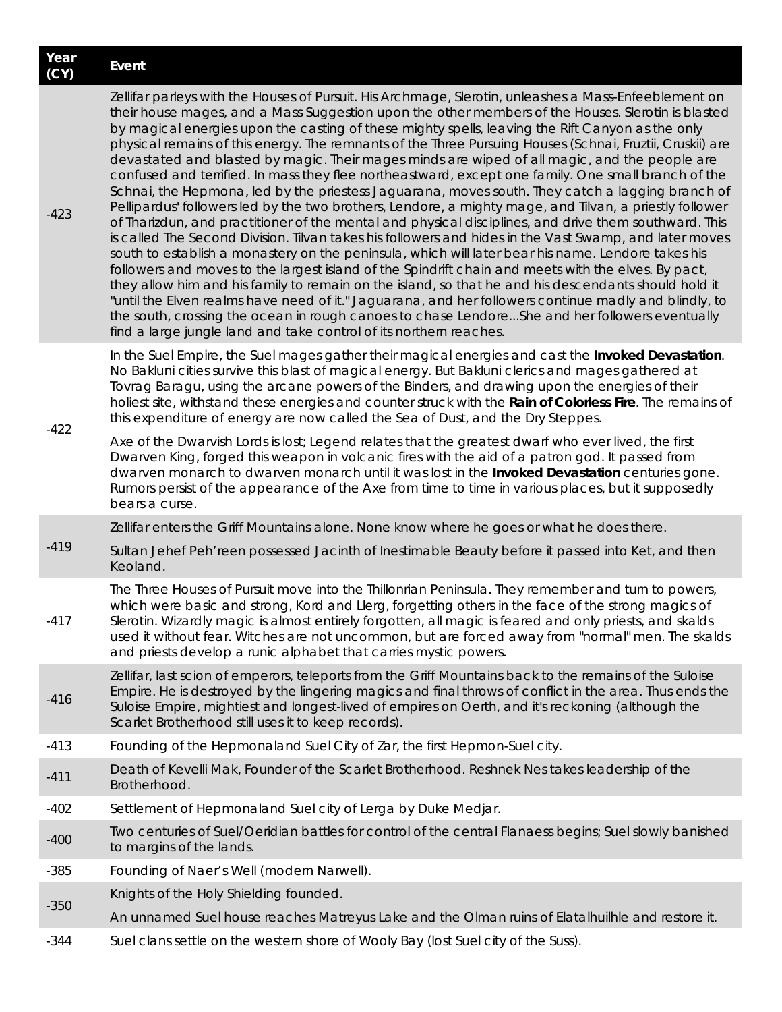| Year<br>(CY) | Event                                                                                                                                                                                                                                                                                                                                                                                                                                                                                                                                                                                                                                                                                                                                                                                                                                                                                                                                                                                                                                                                                                                                                                                                                                                                                                                                                                                                                                                                                                                                                                                                                                                                        |
|--------------|------------------------------------------------------------------------------------------------------------------------------------------------------------------------------------------------------------------------------------------------------------------------------------------------------------------------------------------------------------------------------------------------------------------------------------------------------------------------------------------------------------------------------------------------------------------------------------------------------------------------------------------------------------------------------------------------------------------------------------------------------------------------------------------------------------------------------------------------------------------------------------------------------------------------------------------------------------------------------------------------------------------------------------------------------------------------------------------------------------------------------------------------------------------------------------------------------------------------------------------------------------------------------------------------------------------------------------------------------------------------------------------------------------------------------------------------------------------------------------------------------------------------------------------------------------------------------------------------------------------------------------------------------------------------------|
| $-423$       | Zellifar parleys with the Houses of Pursuit. His Archmage, Slerotin, unleashes a Mass-Enfeeblement on<br>their house mages, and a Mass Suggestion upon the other members of the Houses. Slerotin is blasted<br>by magical energies upon the casting of these mighty spells, leaving the Rift Canyon as the only<br>physical remains of this energy. The remnants of the Three Pursuing Houses (Schnai, Fruztii, Cruskii) are<br>devastated and blasted by magic. Their mages minds are wiped of all magic, and the people are<br>confused and terrified. In mass they flee northeastward, except one family. One small branch of the<br>Schnai, the Hepmona, led by the priestess Jaguarana, moves south. They catch a lagging branch of<br>Pellipardus' followers led by the two brothers, Lendore, a mighty mage, and Tilvan, a priestly follower<br>of Tharizdun, and practitioner of the mental and physical disciplines, and drive them southward. This<br>is called The Second Division. Tilvan takes his followers and hides in the Vast Swamp, and later moves<br>south to establish a monastery on the peninsula, which will later bear his name. Lendore takes his<br>followers and moves to the largest island of the Spindrift chain and meets with the elves. By pact,<br>they allow him and his family to remain on the island, so that he and his descendants should hold it<br>"until the Elven realms have need of it." Jaguarana, and her followers continue madly and blindly, to<br>the south, crossing the ocean in rough canoes to chase LendoreShe and her followers eventually<br>find a large jungle land and take control of its northern reaches. |
| $-422$       | In the Suel Empire, the Suel mages gather their magical energies and cast the <i>Invoked Devastation</i> .<br>No Bakluni cities survive this blast of magical energy. But Bakluni clerics and mages gathered at<br>Tovrag Baragu, using the arcane powers of the Binders, and drawing upon the energies of their<br>holiest site, withstand these energies and counter struck with the Rain of Colorless Fire. The remains of<br>this expenditure of energy are now called the Sea of Dust, and the Dry Steppes.                                                                                                                                                                                                                                                                                                                                                                                                                                                                                                                                                                                                                                                                                                                                                                                                                                                                                                                                                                                                                                                                                                                                                             |
|              | Axe of the Dwarvish Lords is lost; Legend relates that the greatest dwarf who ever lived, the first<br>Dwarven King, forged this weapon in volcanic fires with the aid of a patron god. It passed from<br>dwarven monarch to dwarven monarch until it was lost in the <i>Invoked Devastation</i> centuries gone.<br>Rumors persist of the appearance of the Axe from time to time in various places, but it supposedly<br>bears a curse.                                                                                                                                                                                                                                                                                                                                                                                                                                                                                                                                                                                                                                                                                                                                                                                                                                                                                                                                                                                                                                                                                                                                                                                                                                     |
|              | Zellifar enters the Griff Mountains alone. None know where he goes or what he does there.                                                                                                                                                                                                                                                                                                                                                                                                                                                                                                                                                                                                                                                                                                                                                                                                                                                                                                                                                                                                                                                                                                                                                                                                                                                                                                                                                                                                                                                                                                                                                                                    |
| $-419$       | Sultan Jehef Peh'reen possessed Jacinth of Inestimable Beauty before it passed into Ket, and then<br>Keoland.                                                                                                                                                                                                                                                                                                                                                                                                                                                                                                                                                                                                                                                                                                                                                                                                                                                                                                                                                                                                                                                                                                                                                                                                                                                                                                                                                                                                                                                                                                                                                                |
| $-417$       | The Three Houses of Pursuit move into the Thillonrian Peninsula. They remember and turn to powers,<br>which were basic and strong, Kord and Llerg, forgetting others in the face of the strong magics of<br>Slerotin. Wizardly magic is almost entirely forgotten, all magic is feared and only priests, and skalds<br>used it without fear. Witches are not uncommon, but are forced away from "normal" men. The skalds<br>and priests develop a runic alphabet that carries mystic powers.                                                                                                                                                                                                                                                                                                                                                                                                                                                                                                                                                                                                                                                                                                                                                                                                                                                                                                                                                                                                                                                                                                                                                                                 |
| $-416$       | Zellifar, last scion of emperors, teleports from the Griff Mountains back to the remains of the Suloise<br>Empire. He is destroyed by the lingering magics and final throws of conflict in the area. Thus ends the<br>Suloise Empire, mightiest and longest-lived of empires on Oerth, and it's reckoning (although the<br>Scarlet Brotherhood still uses it to keep records).                                                                                                                                                                                                                                                                                                                                                                                                                                                                                                                                                                                                                                                                                                                                                                                                                                                                                                                                                                                                                                                                                                                                                                                                                                                                                               |
| $-413$       | Founding of the Hepmonaland Suel City of Zar, the first Hepmon-Suel city.                                                                                                                                                                                                                                                                                                                                                                                                                                                                                                                                                                                                                                                                                                                                                                                                                                                                                                                                                                                                                                                                                                                                                                                                                                                                                                                                                                                                                                                                                                                                                                                                    |
| $-411$       | Death of Kevelli Mak, Founder of the Scarlet Brotherhood. Reshnek Nes takes leadership of the<br>Brotherhood.                                                                                                                                                                                                                                                                                                                                                                                                                                                                                                                                                                                                                                                                                                                                                                                                                                                                                                                                                                                                                                                                                                                                                                                                                                                                                                                                                                                                                                                                                                                                                                |
| $-402$       | Settlement of Hepmonaland Suel city of Lerga by Duke Medjar.                                                                                                                                                                                                                                                                                                                                                                                                                                                                                                                                                                                                                                                                                                                                                                                                                                                                                                                                                                                                                                                                                                                                                                                                                                                                                                                                                                                                                                                                                                                                                                                                                 |
| $-400$       | Two centuries of Suel/Oeridian battles for control of the central Flanaess begins; Suel slowly banished<br>to margins of the lands.                                                                                                                                                                                                                                                                                                                                                                                                                                                                                                                                                                                                                                                                                                                                                                                                                                                                                                                                                                                                                                                                                                                                                                                                                                                                                                                                                                                                                                                                                                                                          |
| $-385$       | Founding of Naer's Well (modern Narwell).                                                                                                                                                                                                                                                                                                                                                                                                                                                                                                                                                                                                                                                                                                                                                                                                                                                                                                                                                                                                                                                                                                                                                                                                                                                                                                                                                                                                                                                                                                                                                                                                                                    |
| $-350$       | Knights of the Holy Shielding founded.                                                                                                                                                                                                                                                                                                                                                                                                                                                                                                                                                                                                                                                                                                                                                                                                                                                                                                                                                                                                                                                                                                                                                                                                                                                                                                                                                                                                                                                                                                                                                                                                                                       |
|              | An unnamed Suel house reaches Matreyus Lake and the Olman ruins of Elatalhuilhle and restore it.                                                                                                                                                                                                                                                                                                                                                                                                                                                                                                                                                                                                                                                                                                                                                                                                                                                                                                                                                                                                                                                                                                                                                                                                                                                                                                                                                                                                                                                                                                                                                                             |
| -344         | Suel clans settle on the western shore of Wooly Bay (lost Suel city of the Suss).                                                                                                                                                                                                                                                                                                                                                                                                                                                                                                                                                                                                                                                                                                                                                                                                                                                                                                                                                                                                                                                                                                                                                                                                                                                                                                                                                                                                                                                                                                                                                                                            |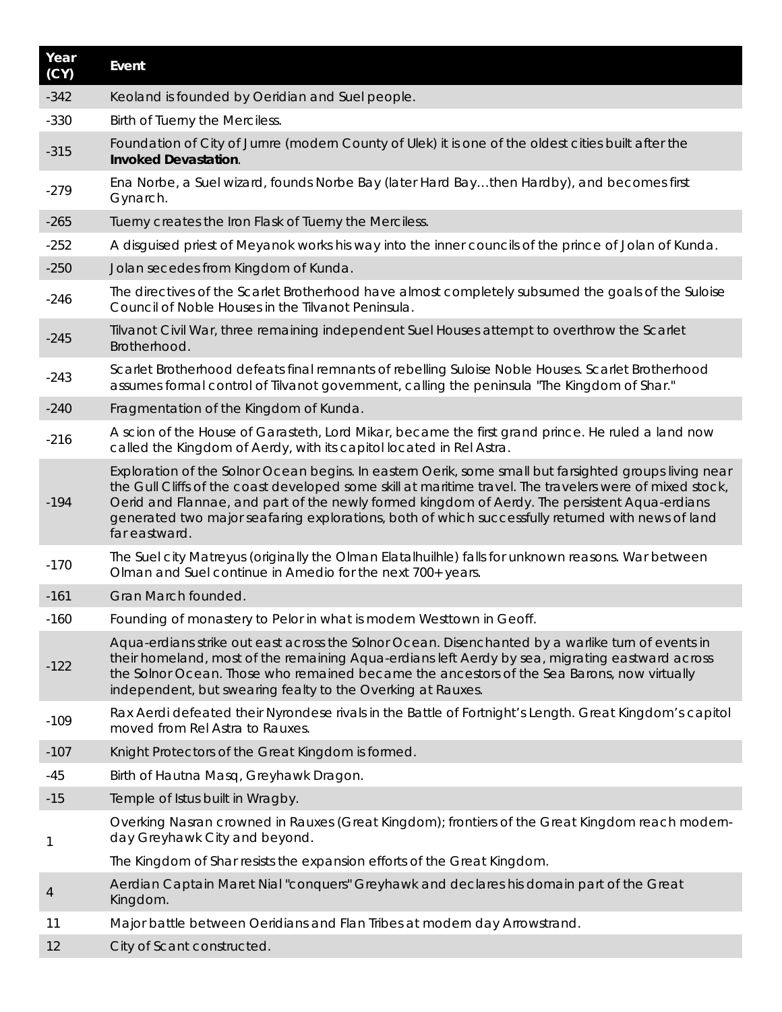| Year<br>(CY) | Event                                                                                                                                                                                                                                                                                                                                                                                                                                     |
|--------------|-------------------------------------------------------------------------------------------------------------------------------------------------------------------------------------------------------------------------------------------------------------------------------------------------------------------------------------------------------------------------------------------------------------------------------------------|
| $-342$       | Keoland is founded by Oeridian and Suel people.                                                                                                                                                                                                                                                                                                                                                                                           |
| $-330$       | Birth of Tuerny the Merciless.                                                                                                                                                                                                                                                                                                                                                                                                            |
| $-315$       | Foundation of City of Jurnre (modern County of Ulek) it is one of the oldest cities built after the<br><b>Invoked Devastation.</b>                                                                                                                                                                                                                                                                                                        |
| $-279$       | Ena Norbe, a Suel wizard, founds Norbe Bay (later Hard Baythen Hardby), and becomes first<br>Gynarch.                                                                                                                                                                                                                                                                                                                                     |
| $-265$       | Tuerny creates the Iron Flask of Tuerny the Merciless.                                                                                                                                                                                                                                                                                                                                                                                    |
| $-252$       | A disguised priest of Meyanok works his way into the inner councils of the prince of Jolan of Kunda.                                                                                                                                                                                                                                                                                                                                      |
| $-250$       | Jolan secedes from Kingdom of Kunda.                                                                                                                                                                                                                                                                                                                                                                                                      |
| $-246$       | The directives of the Scarlet Brotherhood have almost completely subsumed the goals of the Suloise<br>Council of Noble Houses in the Tilvanot Peninsula.                                                                                                                                                                                                                                                                                  |
| $-245$       | Tilvanot Civil War, three remaining independent Suel Houses attempt to overthrow the Scarlet<br>Brotherhood.                                                                                                                                                                                                                                                                                                                              |
| $-243$       | Scarlet Brotherhood defeats final remnants of rebelling Suloise Noble Houses. Scarlet Brotherhood<br>assumes formal control of Tilvanot government, calling the peninsula "The Kingdom of Shar."                                                                                                                                                                                                                                          |
| $-240$       | Fragmentation of the Kingdom of Kunda.                                                                                                                                                                                                                                                                                                                                                                                                    |
| $-216$       | A scion of the House of Garasteth, Lord Mikar, became the first grand prince. He ruled a land now<br>called the Kingdom of Aerdy, with its capitol located in Rel Astra.                                                                                                                                                                                                                                                                  |
| $-194$       | Exploration of the Solnor Ocean begins. In eastern Oerik, some small but farsighted groups living near<br>the Gull Cliffs of the coast developed some skill at maritime travel. The travelers were of mixed stock,<br>Oerid and Flannae, and part of the newly formed kingdom of Aerdy. The persistent Aqua-erdians<br>generated two major seafaring explorations, both of which successfully returned with news of land<br>far eastward. |
| $-170$       | The Suel city Matreyus (originally the Olman Elatalhuilhle) falls for unknown reasons. War between<br>Olman and Suel continue in Amedio for the next 700+ years.                                                                                                                                                                                                                                                                          |
| $-161$       | Gran March founded.                                                                                                                                                                                                                                                                                                                                                                                                                       |
| -160         | Founding of monastery to <i>Pelor</i> in what is modern Westtown in Geoff.                                                                                                                                                                                                                                                                                                                                                                |
| $-122$       | Aqua-erdians strike out east across the Solnor Ocean. Disenchanted by a warlike turn of events in<br>their homeland, most of the remaining Aqua-erdians left Aerdy by sea, migrating eastward across<br>the Solnor Ocean. Those who remained became the ancestors of the Sea Barons, now virtually<br>independent, but swearing fealty to the Overking at Rauxes.                                                                         |
| $-109$       | Rax Aerdi defeated their Nyrondese rivals in the Battle of Fortnight's Length. Great Kingdom's capitol<br>moved from Rel Astra to Rauxes.                                                                                                                                                                                                                                                                                                 |
| $-107$       | Knight Protectors of the Great Kingdom is formed.                                                                                                                                                                                                                                                                                                                                                                                         |
| $-45$        | Birth of Hautna Masq, Greyhawk Dragon.                                                                                                                                                                                                                                                                                                                                                                                                    |
| $-15$        | Temple of Istus built in Wragby.                                                                                                                                                                                                                                                                                                                                                                                                          |
| 1            | Overking Nasran crowned in Rauxes (Great Kingdom); frontiers of the Great Kingdom reach modern-<br>day Greyhawk City and beyond.                                                                                                                                                                                                                                                                                                          |
|              | The Kingdom of Shar resists the expansion efforts of the Great Kingdom.                                                                                                                                                                                                                                                                                                                                                                   |
| 4            | Aerdian Captain Maret Nial "conquers" Greyhawk and declares his domain part of the Great<br>Kingdom.                                                                                                                                                                                                                                                                                                                                      |
| 11           | Major battle between Oeridians and Flan Tribes at modern day Arrowstrand.                                                                                                                                                                                                                                                                                                                                                                 |
| 12           | City of Scant constructed.                                                                                                                                                                                                                                                                                                                                                                                                                |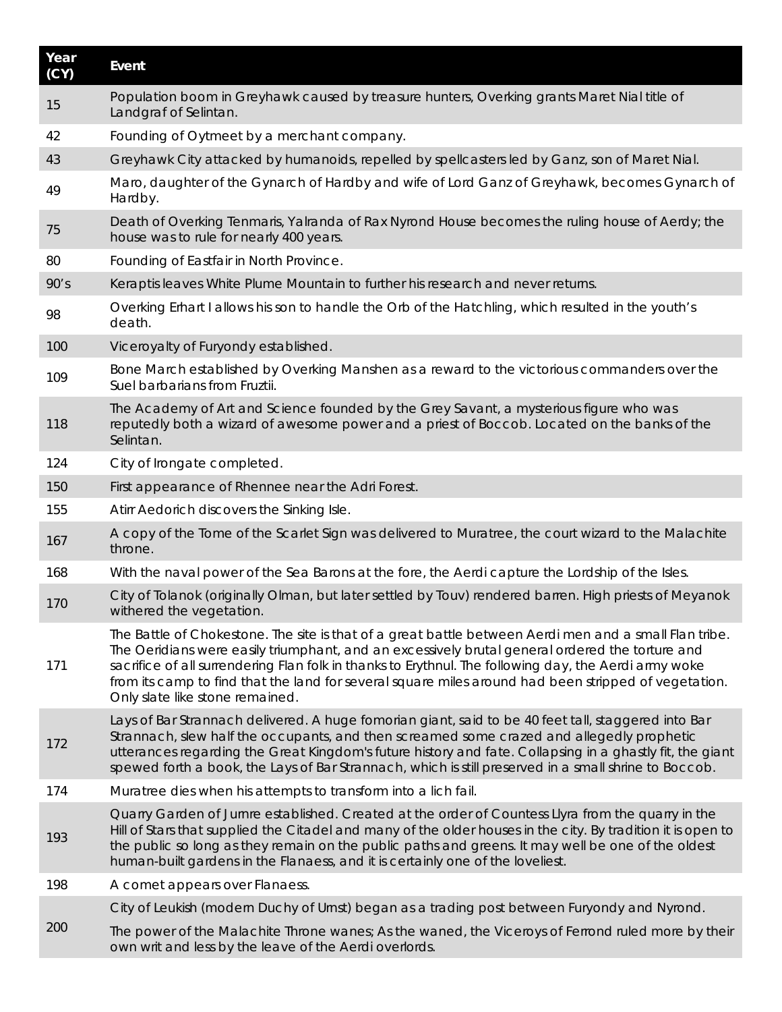| Year<br>(CY) | Event                                                                                                                                                                                                                                                                                                                                                                                                                                                         |
|--------------|---------------------------------------------------------------------------------------------------------------------------------------------------------------------------------------------------------------------------------------------------------------------------------------------------------------------------------------------------------------------------------------------------------------------------------------------------------------|
| 15           | Population boom in Greyhawk caused by treasure hunters, Overking grants Maret Nial title of<br>Landgraf of Selintan.                                                                                                                                                                                                                                                                                                                                          |
| 42           | Founding of Oytmeet by a merchant company.                                                                                                                                                                                                                                                                                                                                                                                                                    |
| 43           | Greyhawk City attacked by humanoids, repelled by spellcasters led by Ganz, son of Maret Nial.                                                                                                                                                                                                                                                                                                                                                                 |
| 49           | Maro, daughter of the Gynarch of Hardby and wife of Lord Ganz of Greyhawk, becomes Gynarch of<br>Hardby.                                                                                                                                                                                                                                                                                                                                                      |
| 75           | Death of Overking Tenmaris, Yalranda of Rax Nyrond House becomes the ruling house of Aerdy; the<br>house was to rule for nearly 400 years.                                                                                                                                                                                                                                                                                                                    |
| 80           | Founding of Eastfair in North Province.                                                                                                                                                                                                                                                                                                                                                                                                                       |
| 90's         | Keraptis leaves White Plume Mountain to further his research and never returns.                                                                                                                                                                                                                                                                                                                                                                               |
| 98           | Overking Erhart I allows his son to handle the Orb of the Hatchling, which resulted in the youth's<br>death.                                                                                                                                                                                                                                                                                                                                                  |
| 100          | Viceroyalty of Furyondy established.                                                                                                                                                                                                                                                                                                                                                                                                                          |
| 109          | Bone March established by Overking Manshen as a reward to the victorious commanders over the<br>Suel barbarians from Fruztii.                                                                                                                                                                                                                                                                                                                                 |
| 118          | The Academy of Art and Science founded by the Grey Savant, a mysterious figure who was<br>reputedly both a wizard of awesome power and a priest of Boccob. Located on the banks of the<br>Selintan.                                                                                                                                                                                                                                                           |
| 124          | City of Irongate completed.                                                                                                                                                                                                                                                                                                                                                                                                                                   |
| 150          | First appearance of Rhennee near the Adri Forest.                                                                                                                                                                                                                                                                                                                                                                                                             |
| 155          | Atirr Aedorich discovers the Sinking Isle.                                                                                                                                                                                                                                                                                                                                                                                                                    |
| 167          | A copy of the Tome of the Scarlet Sign was delivered to Muratree, the court wizard to the Malachite<br>throne.                                                                                                                                                                                                                                                                                                                                                |
| 168          | With the naval power of the Sea Barons at the fore, the Aerdi capture the Lordship of the Isles.                                                                                                                                                                                                                                                                                                                                                              |
| 170          | City of Tolanok (originally Olman, but later settled by Touv) rendered barren. High priests of Meyanok<br>withered the vegetation.                                                                                                                                                                                                                                                                                                                            |
| 171          | The Battle of Chokestone. The site is that of a great battle between Aerdi men and a small Flan tribe.<br>The Oeridians were easily triumphant, and an excessively brutal general ordered the torture and<br>sacrifice of all surrendering Flan folk in thanks to Erythnul. The following day, the Aerdi army woke<br>from its camp to find that the land for several square miles around had been stripped of vegetation.<br>Only slate like stone remained. |
| 172          | Lays of Bar Strannach delivered. A huge fomorian giant, said to be 40 feet tall, staggered into Bar<br>Strannach, slew half the occupants, and then screamed some crazed and allegedly prophetic<br>utterances regarding the Great Kingdom's future history and fate. Collapsing in a ghastly fit, the giant<br>spewed forth a book, the Lays of Bar Strannach, which is still preserved in a small shrine to Boccob.                                         |
| 174          | Muratree dies when his attempts to transform into a lich fail.                                                                                                                                                                                                                                                                                                                                                                                                |
| 193          | Quarry Garden of Jurnre established. Created at the order of Countess Llyra from the quarry in the<br>Hill of Stars that supplied the Citadel and many of the older houses in the city. By tradition it is open to<br>the public so long as they remain on the public paths and greens. It may well be one of the oldest<br>human-built gardens in the Flanaess, and it is certainly one of the loveliest.                                                    |
| 198          | A comet appears over Flanaess.                                                                                                                                                                                                                                                                                                                                                                                                                                |
|              | City of Leukish (modern Duchy of Urnst) began as a trading post between Furyondy and Nyrond.                                                                                                                                                                                                                                                                                                                                                                  |
| 200          | The power of the Malachite Throne wanes; As the waned, the Viceroys of Ferrond ruled more by their<br>own writ and less by the leave of the Aerdi overlords.                                                                                                                                                                                                                                                                                                  |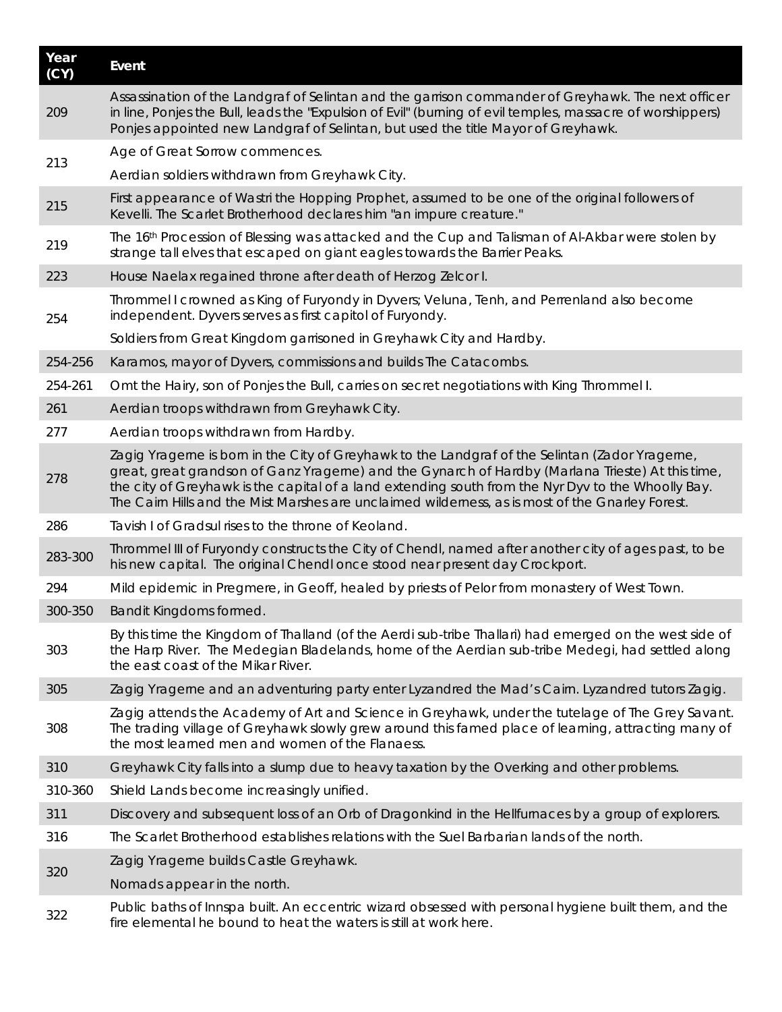| Year<br>(CY) | Event                                                                                                                                                                                                                                                                                                                                                                                                          |
|--------------|----------------------------------------------------------------------------------------------------------------------------------------------------------------------------------------------------------------------------------------------------------------------------------------------------------------------------------------------------------------------------------------------------------------|
| 209          | Assassination of the Landgraf of Selintan and the garrison commander of Greyhawk. The next officer<br>in line, Ponjes the Bull, leads the "Expulsion of Evil" (burning of evil temples, massacre of worshippers)<br>Ponjes appointed new Landgraf of Selintan, but used the title Mayor of Greyhawk.                                                                                                           |
| 213          | Age of Great Sorrow commences.                                                                                                                                                                                                                                                                                                                                                                                 |
|              | Aerdian soldiers withdrawn from Greyhawk City.                                                                                                                                                                                                                                                                                                                                                                 |
| 215          | First appearance of Wastri the Hopping Prophet, assumed to be one of the original followers of<br>Kevelli. The Scarlet Brotherhood declares him "an impure creature."                                                                                                                                                                                                                                          |
| 219          | The 16 <sup>th</sup> Procession of Blessing was attacked and the <i>Cup and Talisman of Al-Akbar</i> were stolen by<br>strange tall elves that escaped on giant eagles towards the Barrier Peaks.                                                                                                                                                                                                              |
| 223          | House Naelax regained throne after death of Herzog Zelcor I.                                                                                                                                                                                                                                                                                                                                                   |
| 254          | Thrommel I crowned as King of Furyondy in Dyvers; Veluna, Tenh, and Perrenland also become<br>independent. Dyvers serves as first capitol of Furyondy.                                                                                                                                                                                                                                                         |
|              | Soldiers from Great Kingdom garrisoned in Greyhawk City and Hardby.                                                                                                                                                                                                                                                                                                                                            |
| 254-256      | Karamos, mayor of Dyvers, commissions and builds The Catacombs.                                                                                                                                                                                                                                                                                                                                                |
| 254-261      | Omt the Hairy, son of Ponjes the Bull, carries on secret negotiations with King Thrommel I.                                                                                                                                                                                                                                                                                                                    |
| 261          | Aerdian troops withdrawn from Greyhawk City.                                                                                                                                                                                                                                                                                                                                                                   |
| 277          | Aerdian troops withdrawn from Hardby.                                                                                                                                                                                                                                                                                                                                                                          |
| 278          | Zagig Yragerne is born in the City of Greyhawk to the Landgraf of the Selintan (Zador Yragerne,<br>great, great grandson of Ganz Yragerne) and the Gynarch of Hardby (Marlana Trieste) At this time,<br>the city of Greyhawk is the capital of a land extending south from the Nyr Dyv to the Whoolly Bay.<br>The Cairn Hills and the Mist Marshes are unclaimed wilderness, as is most of the Gnarley Forest. |
| 286          | Tavish I of Gradsul rises to the throne of Keoland.                                                                                                                                                                                                                                                                                                                                                            |
| 283-300      | Thrommel III of Furyondy constructs the City of Chendl, named after another city of ages past, to be<br>his new capital. The original Chendl once stood near present day Crockport.                                                                                                                                                                                                                            |
| 294          | Mild epidemic in Pregmere, in Geoff, healed by priests of Pelor from monastery of West Town.                                                                                                                                                                                                                                                                                                                   |
| 300-350      | Bandit Kingdoms formed.                                                                                                                                                                                                                                                                                                                                                                                        |
| 303          | By this time the Kingdom of Thalland (of the Aerdi sub-tribe Thallari) had emerged on the west side of<br>the Harp River. The Medegian Bladelands, home of the Aerdian sub-tribe Medegi, had settled along<br>the east coast of the Mikar River.                                                                                                                                                               |
| 305          | Zagig Yragerne and an adventuring party enter Lyzandred the Mad's Cairn. Lyzandred tutors Zagig.                                                                                                                                                                                                                                                                                                               |
| 308          | Zagig attends the Academy of Art and Science in Greyhawk, under the tutelage of The Grey Savant.<br>The trading village of Greyhawk slowly grew around this famed place of learning, attracting many of<br>the most learned men and women of the Flanaess.                                                                                                                                                     |
| 310          | Greyhawk City falls into a slump due to heavy taxation by the Overking and other problems.                                                                                                                                                                                                                                                                                                                     |
| 310-360      | Shield Lands become increasingly unified.                                                                                                                                                                                                                                                                                                                                                                      |
| 311          | Discovery and subsequent loss of an Orb of Dragonkind in the Hellfurnaces by a group of explorers.                                                                                                                                                                                                                                                                                                             |
| 316          | The Scarlet Brotherhood establishes relations with the Suel Barbarian lands of the north.                                                                                                                                                                                                                                                                                                                      |
|              | Zagig Yragerne builds Castle Greyhawk.                                                                                                                                                                                                                                                                                                                                                                         |
| 320          | Nomads appear in the north.                                                                                                                                                                                                                                                                                                                                                                                    |
| 322          | Public baths of Innspa built. An eccentric wizard obsessed with personal hygiene built them, and the<br>fire elemental he bound to heat the waters is still at work here.                                                                                                                                                                                                                                      |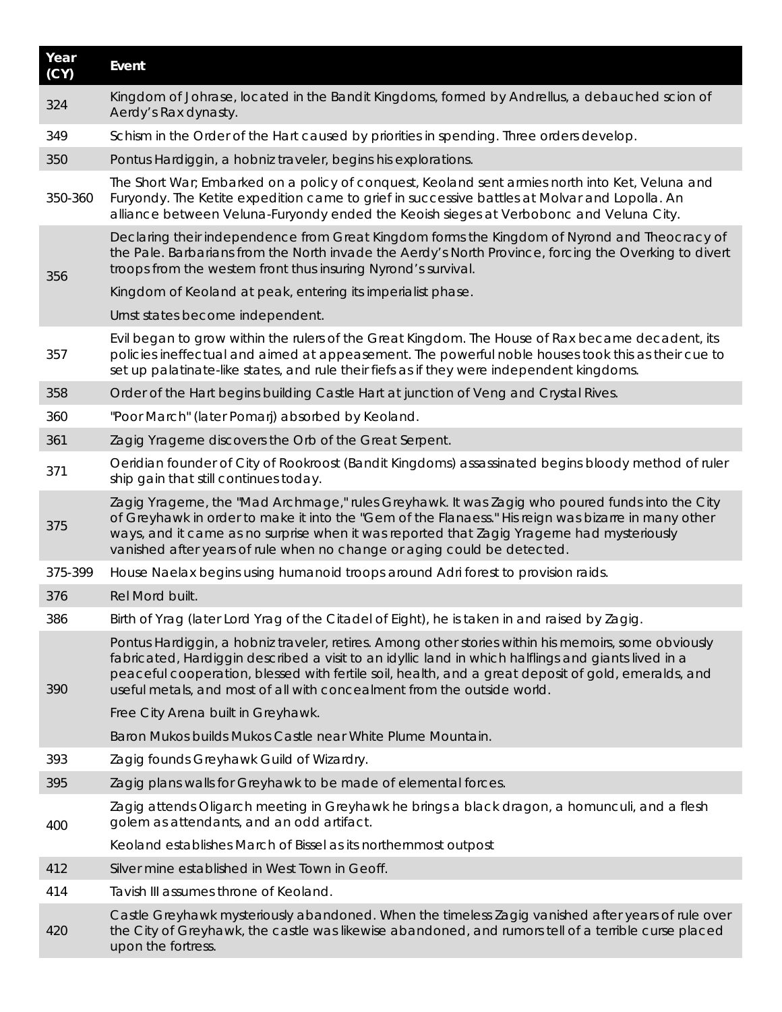| Year<br>(CY) | Event                                                                                                                                                                                                                                                                                                                                                                                         |
|--------------|-----------------------------------------------------------------------------------------------------------------------------------------------------------------------------------------------------------------------------------------------------------------------------------------------------------------------------------------------------------------------------------------------|
| 324          | Kingdom of Johrase, located in the Bandit Kingdoms, formed by Andrellus, a debauched scion of<br>Aerdy's Rax dynasty.                                                                                                                                                                                                                                                                         |
| 349          | Schism in the Order of the Hart caused by priorities in spending. Three orders develop.                                                                                                                                                                                                                                                                                                       |
| 350          | Pontus Hardiggin, a hobniz traveler, begins his explorations.                                                                                                                                                                                                                                                                                                                                 |
| 350-360      | The Short War, Embarked on a policy of conquest, Keoland sent armies north into Ket, Veluna and<br>Furyondy. The Ketite expedition came to grief in successive battles at Molvar and Lopolla. An<br>alliance between Veluna-Furyondy ended the Keoish sieges at Verbobonc and Veluna City.                                                                                                    |
| 356          | Declaring their independence from Great Kingdom forms the Kingdom of Nyrond and Theocracy of<br>the Pale. Barbarians from the North invade the Aerdy's North Province, forcing the Overking to divert<br>troops from the western front thus insuring Nyrond's survival.                                                                                                                       |
|              | Kingdom of Keoland at peak, entering its imperialist phase.                                                                                                                                                                                                                                                                                                                                   |
|              | Urnst states become independent.                                                                                                                                                                                                                                                                                                                                                              |
| 357          | Evil began to grow within the rulers of the Great Kingdom. The House of Rax became decadent, its<br>policies ineffectual and aimed at appeasement. The powerful noble houses took this as their cue to<br>set up palatinate-like states, and rule their fiefs as if they were independent kingdoms.                                                                                           |
| 358          | Order of the Hart begins building Castle Hart at junction of Veng and Crystal Rives.                                                                                                                                                                                                                                                                                                          |
| 360          | "Poor March" (later Pomarj) absorbed by Keoland.                                                                                                                                                                                                                                                                                                                                              |
| 361          | Zagig Yragerne discovers the Orb of the Great Serpent.                                                                                                                                                                                                                                                                                                                                        |
| 371          | Oeridian founder of City of Rookroost (Bandit Kingdoms) assassinated begins bloody method of ruler<br>ship gain that still continues today.                                                                                                                                                                                                                                                   |
| 375          | Zagig Yragerne, the "Mad Archmage," rules Greyhawk. It was Zagig who poured funds into the City<br>of Greyhawk in order to make it into the "Gem of the Flanaess." His reign was bizarre in many other<br>ways, and it came as no surprise when it was reported that Zagig Yragerne had mysteriously<br>vanished after years of rule when no change or aging could be detected.               |
| 375-399      | House Naelax begins using humanoid troops around Adri forest to provision raids.                                                                                                                                                                                                                                                                                                              |
| 376          | Rel Mord built.                                                                                                                                                                                                                                                                                                                                                                               |
| 386          | Birth of Yrag (later Lord Yrag of the Citadel of Eight), he is taken in and raised by Zagig.                                                                                                                                                                                                                                                                                                  |
| 390          | Pontus Hardiggin, a hobniz traveler, retires. Among other stories within his memoirs, some obviously<br>fabricated, Hardiggin described a visit to an idyllic land in which halflings and giants lived in a<br>peaceful cooperation, blessed with fertile soil, health, and a great deposit of gold, emeralds, and<br>useful metals, and most of all with concealment from the outside world. |
|              | Free City Arena built in Greyhawk.                                                                                                                                                                                                                                                                                                                                                            |
|              | Baron Mukos builds Mukos Castle near White Plume Mountain.                                                                                                                                                                                                                                                                                                                                    |
| 393          | Zagig founds Greyhawk Guild of Wizardry.                                                                                                                                                                                                                                                                                                                                                      |
| 395          | Zagig plans walls for Greyhawk to be made of elemental forces.                                                                                                                                                                                                                                                                                                                                |
| 400          | Zagig attends Oligarch meeting in Greyhawk he brings a black dragon, a homunculi, and a flesh<br>golem as attendants, and an odd artifact.                                                                                                                                                                                                                                                    |
|              | Keoland establishes March of Bissel as its northernmost outpost                                                                                                                                                                                                                                                                                                                               |
| 412          | Silver mine established in West Town in Geoff.                                                                                                                                                                                                                                                                                                                                                |
| 414          | Tavish III assumes throne of Keoland.                                                                                                                                                                                                                                                                                                                                                         |
| 420          | Castle Greyhawk mysteriously abandoned. When the timeless Zagig vanished after years of rule over<br>the City of Greyhawk, the castle was likewise abandoned, and rumors tell of a terrible curse placed<br>upon the fortress.                                                                                                                                                                |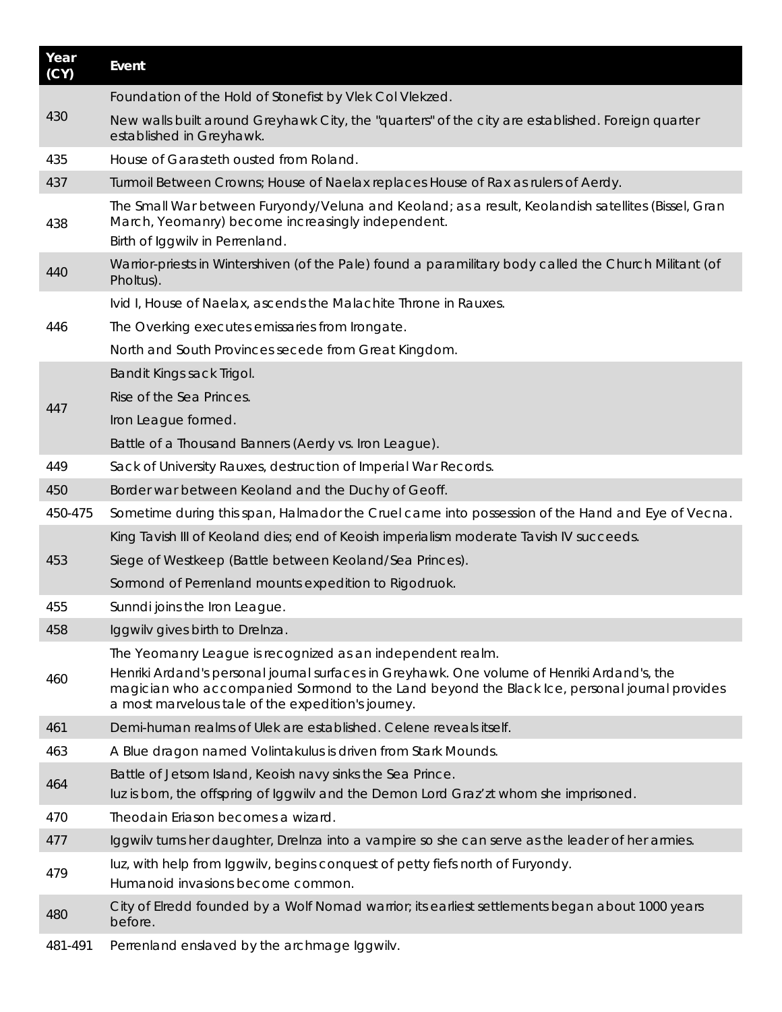| Year<br>(CY) | Event                                                                                                                                                                                                                                             |
|--------------|---------------------------------------------------------------------------------------------------------------------------------------------------------------------------------------------------------------------------------------------------|
|              | Foundation of the Hold of Stonefist by Vlek Col Vlekzed.                                                                                                                                                                                          |
| 430          | New walls built around Greyhawk City, the "quarters" of the city are established. Foreign quarter<br>established in Greyhawk.                                                                                                                     |
| 435          | House of Garasteth ousted from Roland.                                                                                                                                                                                                            |
| 437          | Turmoil Between Crowns; House of Naelax replaces House of Rax as rulers of Aerdy.                                                                                                                                                                 |
| 438          | The Small War between Furyondy/Veluna and Keoland; as a result, Keolandish satellites (Bissel, Gran<br>March, Yeomanry) become increasingly independent.<br>Birth of Iggwilv in Perrenland.                                                       |
| 440          | Warrior-priests in Wintershiven (of the Pale) found a paramilitary body called the Church Militant (of<br>Pholtus).                                                                                                                               |
|              | Ivid I, House of Naelax, ascends the Malachite Throne in Rauxes.                                                                                                                                                                                  |
| 446          | The Overking executes emissaries from Irongate.                                                                                                                                                                                                   |
|              | North and South Provinces secede from Great Kingdom.                                                                                                                                                                                              |
|              | Bandit Kings sack Trigol.                                                                                                                                                                                                                         |
| 447          | Rise of the Sea Princes.                                                                                                                                                                                                                          |
|              | Iron League formed.                                                                                                                                                                                                                               |
|              | Battle of a Thousand Banners (Aerdy vs. Iron League).                                                                                                                                                                                             |
| 449          | Sack of University Rauxes, destruction of Imperial War Records.                                                                                                                                                                                   |
| 450          | Border war between Keoland and the Duchy of Geoff.                                                                                                                                                                                                |
| 450-475      | Sometime during this span, Halmador the Cruel came into possession of the Hand and Eye of Vecna.                                                                                                                                                  |
|              | King Tavish III of Keoland dies; end of Keoish imperialism moderate Tavish IV succeeds.                                                                                                                                                           |
| 453          | Siege of Westkeep (Battle between Keoland/Sea Princes).                                                                                                                                                                                           |
|              | Sormond of Perrenland mounts expedition to Rigodruok.                                                                                                                                                                                             |
| 455          | Sunndi joins the Iron League.                                                                                                                                                                                                                     |
| 458          | Iggwilv gives birth to Drelnza.                                                                                                                                                                                                                   |
|              | The Yeomanry League is recognized as an independent realm.                                                                                                                                                                                        |
| 460          | Henriki Ardand's personal journal surfaces in Greyhawk. One volume of Henriki Ardand's, the<br>magician who accompanied Sormond to the Land beyond the Black Ice, personal journal provides<br>a most marvelous tale of the expedition's journey. |
| 461          | Demi-human realms of Ulek are established. Celene reveals itself.                                                                                                                                                                                 |
| 463          | A Blue dragon named Volintakulus is driven from Stark Mounds.                                                                                                                                                                                     |
| 464          | Battle of Jetsom Island, Keoish navy sinks the Sea Prince.<br>luz is born, the offspring of Iggwilv and the Demon Lord Graz'zt whom she imprisoned.                                                                                               |
| 470          | Theodain Eriason becomes a wizard.                                                                                                                                                                                                                |
| 477          | Iggwilv turns her daughter, Drelnza into a vampire so she can serve as the leader of her armies.                                                                                                                                                  |
| 479          | luz, with help from Iggwilv, begins conquest of petty fiefs north of Furyondy.<br>Humanoid invasions become common.                                                                                                                               |
| 480          | City of Elredd founded by a Wolf Nomad warrior; its earliest settlements began about 1000 years<br>before.                                                                                                                                        |
| 481-491      | Perrenland enslaved by the archmage Iggwilv.                                                                                                                                                                                                      |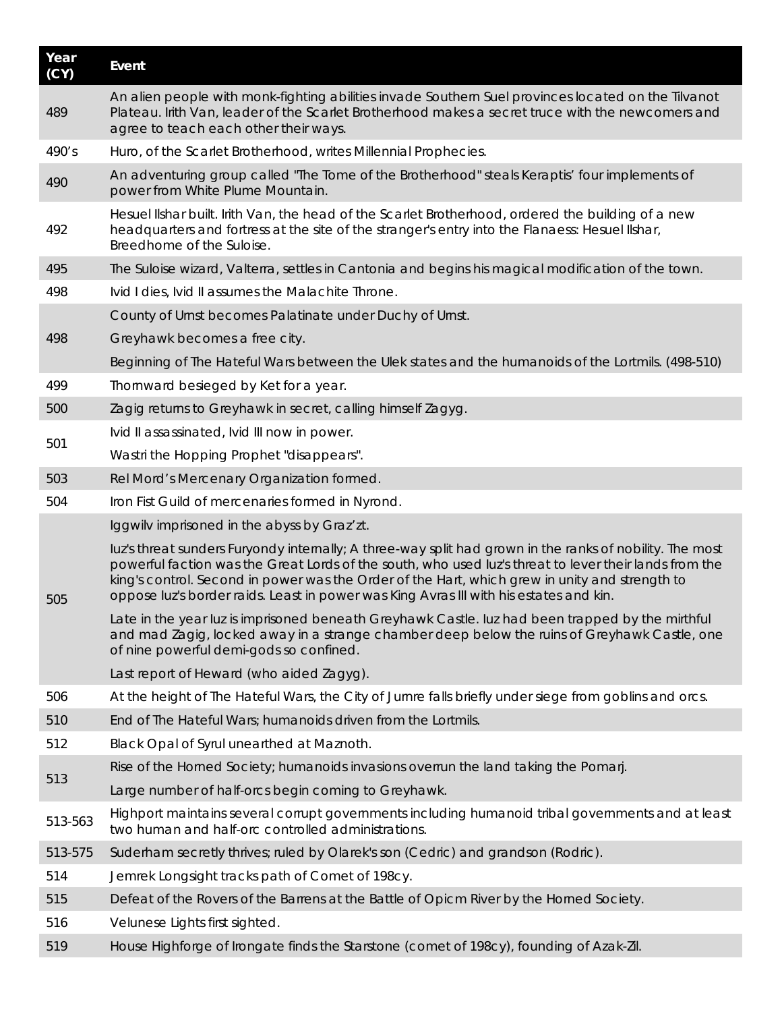| Year<br>(CY) | Event                                                                                                                                                                                                                                                                                                                                                                                                          |
|--------------|----------------------------------------------------------------------------------------------------------------------------------------------------------------------------------------------------------------------------------------------------------------------------------------------------------------------------------------------------------------------------------------------------------------|
| 489          | An alien people with monk-fighting abilities invade Southern Suel provinces located on the Tilvanot<br>Plateau. Irith Van, leader of the Scarlet Brotherhood makes a secret truce with the newcomers and<br>agree to teach each other their ways.                                                                                                                                                              |
| 490's        | Huro, of the Scarlet Brotherhood, writes Millennial Prophecies.                                                                                                                                                                                                                                                                                                                                                |
| 490          | An adventuring group called "The Tome of the Brotherhood" steals Keraptis' four implements of<br>power from White Plume Mountain.                                                                                                                                                                                                                                                                              |
| 492          | Hesuel IIshar built. Irith Van, the head of the Scarlet Brotherhood, ordered the building of a new<br>headquarters and fortress at the site of the stranger's entry into the Flanaess: Hesuel IIshar,<br>Breedhome of the Suloise.                                                                                                                                                                             |
| 495          | The Suloise wizard, Valterra, settles in Cantonia and begins his magical modification of the town.                                                                                                                                                                                                                                                                                                             |
| 498          | Ivid I dies, Ivid II assumes the Malachite Throne.                                                                                                                                                                                                                                                                                                                                                             |
|              | County of Urnst becomes Palatinate under Duchy of Urnst.                                                                                                                                                                                                                                                                                                                                                       |
| 498          | Greyhawk becomes a free city.                                                                                                                                                                                                                                                                                                                                                                                  |
|              | Beginning of The Hateful Wars between the Ulek states and the humanoids of the Lortmils. (498-510)                                                                                                                                                                                                                                                                                                             |
| 499          | Thornward besieged by Ket for a year.                                                                                                                                                                                                                                                                                                                                                                          |
| 500          | Zagig returns to Greyhawk in secret, calling himself Zagyg.                                                                                                                                                                                                                                                                                                                                                    |
|              | Ivid II assassinated, Ivid III now in power.                                                                                                                                                                                                                                                                                                                                                                   |
| 501          | Wastri the Hopping Prophet "disappears".                                                                                                                                                                                                                                                                                                                                                                       |
| 503          | Rel Mord's Mercenary Organization formed.                                                                                                                                                                                                                                                                                                                                                                      |
| 504          | Iron Fist Guild of mercenaries formed in Nyrond.                                                                                                                                                                                                                                                                                                                                                               |
|              | Iggwilv imprisoned in the abyss by Graz'zt.                                                                                                                                                                                                                                                                                                                                                                    |
| 505          | luz's threat sunders Furyondy internally; A three-way split had grown in the ranks of nobility. The most<br>powerful faction was the Great Lords of the south, who used luz's threat to lever their lands from the<br>king's control. Second in power was the Order of the Hart, which grew in unity and strength to<br>oppose luz's border raids. Least in power was King Avras III with his estates and kin. |
|              | Late in the year luz is imprisoned beneath Greyhawk Castle. luz had been trapped by the mirthful<br>and mad Zagig, locked away in a strange chamber deep below the ruins of Greyhawk Castle, one<br>of nine powerful demi-gods so confined.                                                                                                                                                                    |
|              | Last report of Heward (who aided Zagyg).                                                                                                                                                                                                                                                                                                                                                                       |
| 506          | At the height of The Hateful Wars, the City of Jurnre falls briefly under siege from goblins and orcs.                                                                                                                                                                                                                                                                                                         |
| 510          | End of The Hateful Wars; humanoids driven from the Lortmils.                                                                                                                                                                                                                                                                                                                                                   |
| 512          | Black Opal of Syrul unearthed at Maznoth.                                                                                                                                                                                                                                                                                                                                                                      |
| 513          | Rise of the Horned Society; humanoids invasions overrun the land taking the Pomarj.                                                                                                                                                                                                                                                                                                                            |
|              | Large number of half-orcs begin coming to Greyhawk.                                                                                                                                                                                                                                                                                                                                                            |
| 513-563      | Highport maintains several corrupt governments including humanoid tribal governments and at least<br>two human and half-orc controlled administrations.                                                                                                                                                                                                                                                        |
| 513-575      | Suderham secretly thrives; ruled by Olarek's son (Cedric) and grandson (Rodric).                                                                                                                                                                                                                                                                                                                               |
| 514          | Jemrek Longsight tracks path of Comet of 198cy.                                                                                                                                                                                                                                                                                                                                                                |
| 515          | Defeat of the Rovers of the Barrens at the Battle of Opicm River by the Horned Society.                                                                                                                                                                                                                                                                                                                        |
| 516          | Velunese Lights first sighted.                                                                                                                                                                                                                                                                                                                                                                                 |
| 519          | House Highforge of Irongate finds the Starstone (comet of 198cy), founding of Azak-Zil.                                                                                                                                                                                                                                                                                                                        |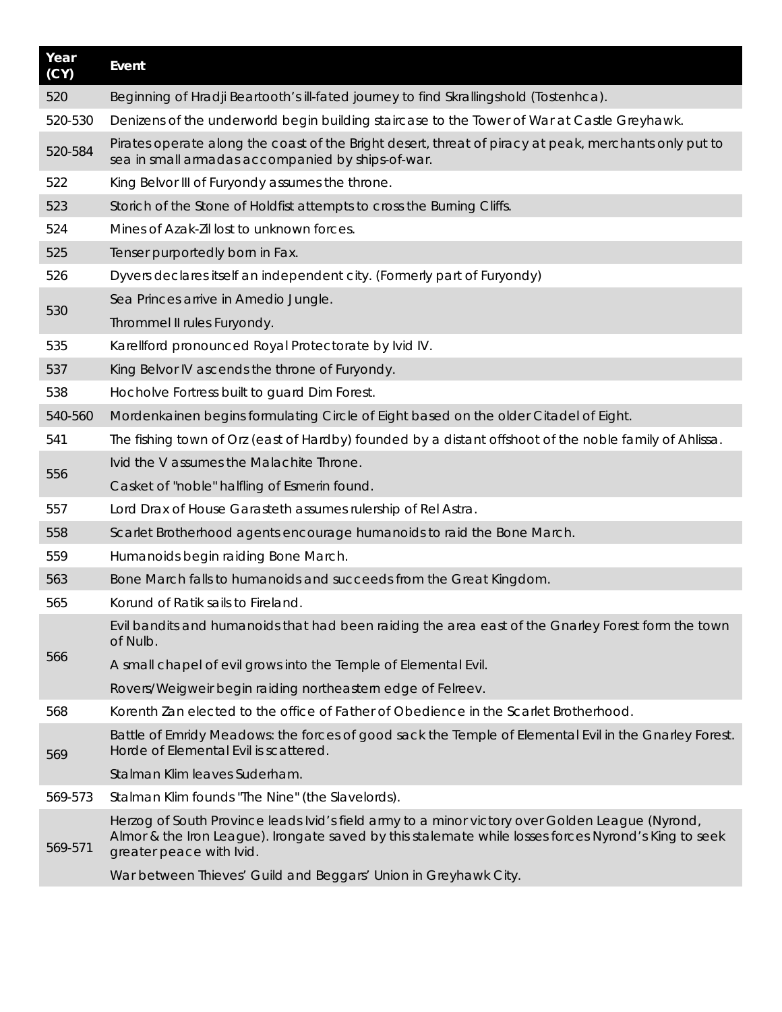| Year<br>$\overline{(\overline{CY})}$ | Event                                                                                                                                                                                                                               |
|--------------------------------------|-------------------------------------------------------------------------------------------------------------------------------------------------------------------------------------------------------------------------------------|
| 520                                  | Beginning of Hradji Beartooth's ill-fated journey to find Skrallingshold (Tostenhca).                                                                                                                                               |
| 520-530                              | Denizens of the underworld begin building staircase to the Tower of War at Castle Greyhawk.                                                                                                                                         |
| 520-584                              | Pirates operate along the coast of the Bright desert, threat of piracy at peak, merchants only put to<br>sea in small armadas accompanied by ships-of-war.                                                                          |
| 522                                  | King Belvor III of Furyondy assumes the throne.                                                                                                                                                                                     |
| 523                                  | Storich of the Stone of Holdfist attempts to cross the Burning Cliffs.                                                                                                                                                              |
| 524                                  | Mines of Azak-Zil lost to unknown forces.                                                                                                                                                                                           |
| 525                                  | Tenser purportedly born in Fax.                                                                                                                                                                                                     |
| 526                                  | Dyvers declares itself an independent city. (Formerly part of Furyondy)                                                                                                                                                             |
|                                      | Sea Princes arrive in Amedio Jungle.                                                                                                                                                                                                |
| 530                                  | Thrommel II rules Furyondy.                                                                                                                                                                                                         |
| 535                                  | Karellford pronounced Royal Protectorate by Ivid IV.                                                                                                                                                                                |
| 537                                  | King Belvor IV ascends the throne of Furyondy.                                                                                                                                                                                      |
| 538                                  | Hocholve Fortress built to guard Dim Forest.                                                                                                                                                                                        |
| 540-560                              | Mordenkainen begins formulating Circle of Eight based on the older Citadel of Eight.                                                                                                                                                |
| 541                                  | The fishing town of Orz (east of Hardby) founded by a distant offshoot of the noble family of Ahlissa.                                                                                                                              |
|                                      | Ivid the V assumes the Malachite Throne.                                                                                                                                                                                            |
| 556                                  | Casket of "noble" halfling of Esmerin found.                                                                                                                                                                                        |
| 557                                  | Lord Drax of House Garasteth assumes rulership of Rel Astra.                                                                                                                                                                        |
| 558                                  | Scarlet Brotherhood agents encourage humanoids to raid the Bone March.                                                                                                                                                              |
| 559                                  | Humanoids begin raiding Bone March.                                                                                                                                                                                                 |
| 563                                  | Bone March falls to humanoids and succeeds from the Great Kingdom.                                                                                                                                                                  |
| 565                                  | Korund of Ratik sails to Fireland.                                                                                                                                                                                                  |
|                                      | Evil bandits and humanoids that had been raiding the area east of the Gnarley Forest form the town<br>of Nulb.                                                                                                                      |
| 566                                  | A small chapel of evil grows into the Temple of Elemental Evil.                                                                                                                                                                     |
|                                      | Rovers/Weigweir begin raiding northeastern edge of Felreev.                                                                                                                                                                         |
| 568                                  | Korenth Zan elected to the office of Father of Obedience in the Scarlet Brotherhood.                                                                                                                                                |
| 569                                  | Battle of Emridy Meadows: the forces of good sack the Temple of Elemental Evil in the Gnarley Forest.<br>Horde of Elemental Evil is scattered.                                                                                      |
|                                      | Stalman Klim leaves Suderham.                                                                                                                                                                                                       |
| 569-573                              | Stalman Klim founds "The Nine" (the Slavelords).                                                                                                                                                                                    |
| 569-571                              | Herzog of South Province leads Ivid's field army to a minor victory over Golden League (Nyrond,<br>Almor & the Iron League). Irongate saved by this stalemate while losses forces Nyrond's King to seek<br>greater peace with Ivid. |
|                                      | War between Thieves' Guild and Beggars' Union in Greyhawk City.                                                                                                                                                                     |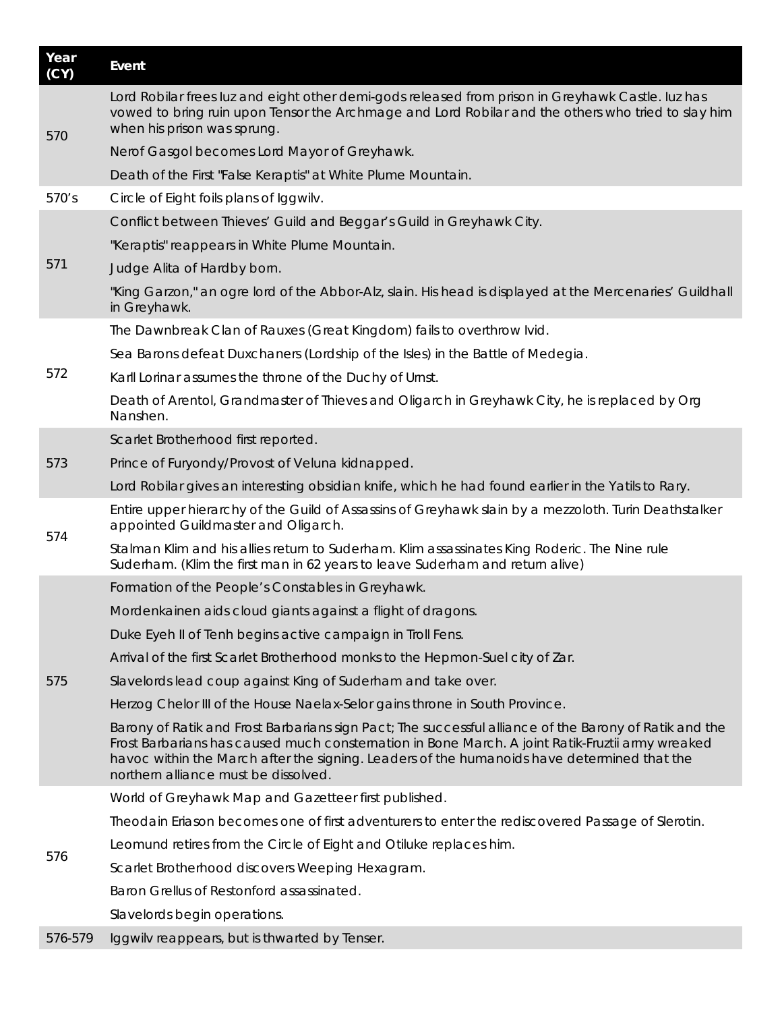| Year<br>(CY) | Event                                                                                                                                                                                                                                                                                                                                             |
|--------------|---------------------------------------------------------------------------------------------------------------------------------------------------------------------------------------------------------------------------------------------------------------------------------------------------------------------------------------------------|
| 570          | Lord Robilar frees luz and eight other demi-gods released from prison in Greyhawk Castle. Iuz has<br>vowed to bring ruin upon Tensor the Archmage and Lord Robilar and the others who tried to slay him<br>when his prison was sprung.                                                                                                            |
|              | Nerof Gasgol becomes Lord Mayor of Greyhawk.                                                                                                                                                                                                                                                                                                      |
|              | Death of the First "False Keraptis" at White Plume Mountain.                                                                                                                                                                                                                                                                                      |
| 570's        | Circle of Eight foils plans of Iggwilv.                                                                                                                                                                                                                                                                                                           |
|              | Conflict between Thieves' Guild and Beggar's Guild in Greyhawk City.                                                                                                                                                                                                                                                                              |
|              | "Keraptis" reappears in White Plume Mountain.                                                                                                                                                                                                                                                                                                     |
| 571          | Judge Alita of Hardby born.                                                                                                                                                                                                                                                                                                                       |
|              | "King Garzon," an ogre lord of the Abbor-Alz, slain. His head is displayed at the Mercenaries' Guildhall<br>in Greyhawk.                                                                                                                                                                                                                          |
|              | The Dawnbreak Clan of Rauxes (Great Kingdom) fails to overthrow Ivid.                                                                                                                                                                                                                                                                             |
|              | Sea Barons defeat Duxchaners (Lordship of the Isles) in the Battle of Medegia.                                                                                                                                                                                                                                                                    |
| 572          | Karll Lorinar assumes the throne of the Duchy of Urnst.                                                                                                                                                                                                                                                                                           |
|              | Death of Arentol, Grandmaster of Thieves and Oligarch in Greyhawk City, he is replaced by Org<br>Nanshen.                                                                                                                                                                                                                                         |
|              | Scarlet Brotherhood first reported.                                                                                                                                                                                                                                                                                                               |
| 573          | Prince of Furyondy/Provost of Veluna kidnapped.                                                                                                                                                                                                                                                                                                   |
|              | Lord Robilar gives an interesting obsidian knife, which he had found earlier in the Yatils to Rary.                                                                                                                                                                                                                                               |
| 574          | Entire upper hierarchy of the Guild of Assassins of Greyhawk slain by a mezzoloth. Turin Deathstalker<br>appointed Guildmaster and Oligarch.                                                                                                                                                                                                      |
|              | Stalman Klim and his allies return to Suderham. Klim assassinates King Roderic. The Nine rule<br>Suderham. (Klim the first man in 62 years to leave Suderham and return alive)                                                                                                                                                                    |
|              | Formation of the People's Constables in Greyhawk.                                                                                                                                                                                                                                                                                                 |
|              | Mordenkainen aids cloud giants against a flight of dragons.                                                                                                                                                                                                                                                                                       |
|              | Duke Eyeh II of Tenh begins active campaign in Troll Fens.                                                                                                                                                                                                                                                                                        |
|              | Arrival of the first Scarlet Brotherhood monks to the Hepmon-Suel city of Zar.                                                                                                                                                                                                                                                                    |
| 575          | Slavelords lead coup against King of Suderham and take over.                                                                                                                                                                                                                                                                                      |
|              | Herzog Chelor III of the House Naelax-Selor gains throne in South Province.                                                                                                                                                                                                                                                                       |
|              | Barony of Ratik and Frost Barbarians sign Pact; The successful alliance of the Barony of Ratik and the<br>Frost Barbarians has caused much consternation in Bone March. A joint Ratik-Fruztii army wreaked<br>havoc within the March after the signing. Leaders of the humanoids have determined that the<br>northern alliance must be dissolved. |
|              | World of Greyhawk Map and Gazetteer first published.                                                                                                                                                                                                                                                                                              |
|              | Theodain Eriason becomes one of first adventurers to enter the rediscovered Passage of Slerotin.                                                                                                                                                                                                                                                  |
| 576          | Leomund retires from the Circle of Eight and Otiluke replaces him.                                                                                                                                                                                                                                                                                |
|              | Scarlet Brotherhood discovers Weeping Hexagram.                                                                                                                                                                                                                                                                                                   |
|              | Baron Grellus of Restonford assassinated.                                                                                                                                                                                                                                                                                                         |
|              | Slavelords begin operations.                                                                                                                                                                                                                                                                                                                      |
| 576-579      | Iggwilv reappears, but is thwarted by Tenser.                                                                                                                                                                                                                                                                                                     |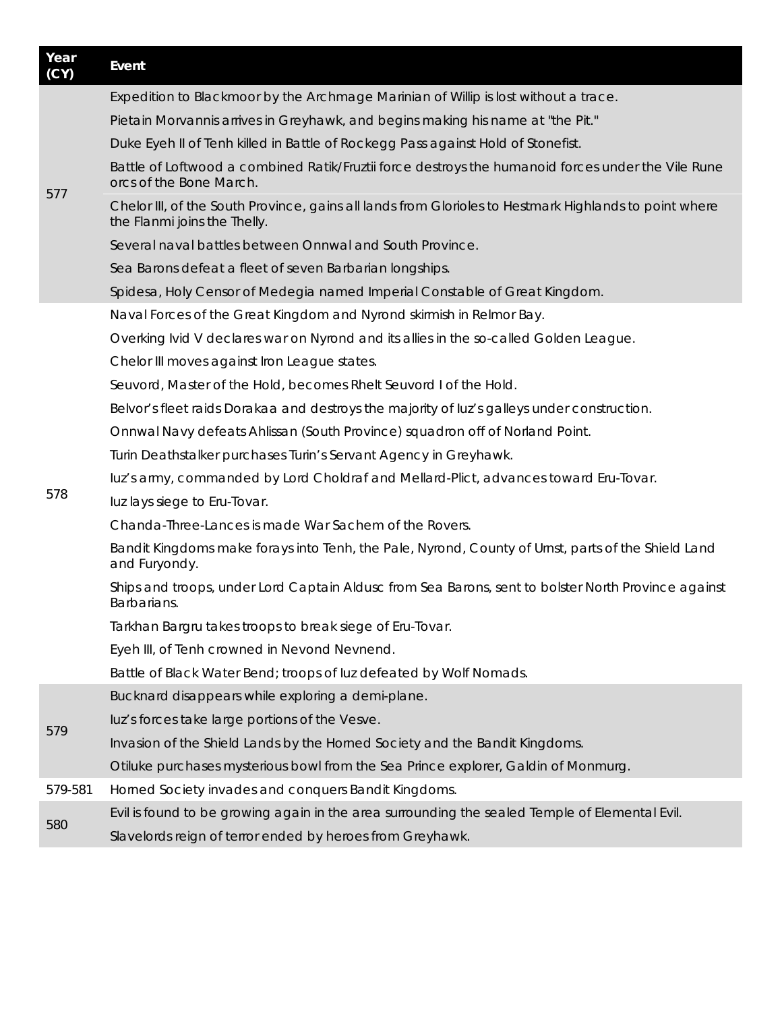| Year<br>(CY) | Event                                                                                                                                  |
|--------------|----------------------------------------------------------------------------------------------------------------------------------------|
|              | Expedition to Blackmoor by the Archmage Marinian of Willip is lost without a trace.                                                    |
|              | Pietain Morvannis arrives in Greyhawk, and begins making his name at "the Pit."                                                        |
|              | Duke Eyeh II of Tenh killed in Battle of Rockegg Pass against Hold of Stonefist.                                                       |
| 577          | Battle of Loftwood a combined Ratik/Fruztii force destroys the humanoid forces under the Vile Rune<br>orcs of the Bone March.          |
|              | Chelor III, of the South Province, gains all lands from Glorioles to Hestmark Highlands to point where<br>the Flanmi joins the Thelly. |
|              | Several naval battles between Onnwal and South Province.                                                                               |
|              | Sea Barons defeat a fleet of seven Barbarian longships.                                                                                |
|              | Spidesa, Holy Censor of Medegia named Imperial Constable of Great Kingdom.                                                             |
|              | Naval Forces of the Great Kingdom and Nyrond skirmish in Relmor Bay.                                                                   |
|              | Overking Ivid V declares war on Nyrond and its allies in the so-called Golden League.                                                  |
|              | Chelor III moves against Iron League states.                                                                                           |
|              | Seuvord, Master of the Hold, becomes Rhelt Seuvord I of the Hold.                                                                      |
|              | Belvor's fleet raids Dorakaa and destroys the majority of luz's galleys under construction.                                            |
|              | Onnwal Navy defeats Ahlissan (South Province) squadron off of Norland Point.                                                           |
|              | Turin Deathstalker purchases Turin's Servant Agency in Greyhawk.                                                                       |
|              | luz's army, commanded by Lord Choldraf and Mellard-Plict, advances toward Eru-Tovar.                                                   |
| 578          | luz lays siege to Eru-Tovar.                                                                                                           |
|              | Chanda-Three-Lances is made War Sachem of the Rovers.                                                                                  |
|              | Bandit Kingdoms make forays into Tenh, the Pale, Nyrond, County of Urnst, parts of the Shield Land<br>and Furyondy.                    |
|              | Ships and troops, under Lord Captain Aldusc from Sea Barons, sent to bolster North Province against<br>Barbarians.                     |
|              | Tarkhan Bargru takes troops to break siege of Eru-Tovar.                                                                               |
|              | Eyeh III, of Tenh crowned in Nevond Nevnend.                                                                                           |
|              | Battle of Black Water Bend; troops of luz defeated by Wolf Nomads.                                                                     |
|              | Bucknard disappears while exploring a demi-plane.                                                                                      |
|              | luz's forces take large portions of the Vesve.                                                                                         |
| 579          | Invasion of the Shield Lands by the Horned Society and the Bandit Kingdoms.                                                            |
|              | Otiluke purchases mysterious bowl from the Sea Prince explorer, Galdin of Monmurg.                                                     |
| 579-581      | Horned Society invades and conquers Bandit Kingdoms.                                                                                   |
| 580          | Evil is found to be growing again in the area surrounding the sealed Temple of Elemental Evil.                                         |
|              |                                                                                                                                        |

Slavelords reign of terror ended by heroes from Greyhawk.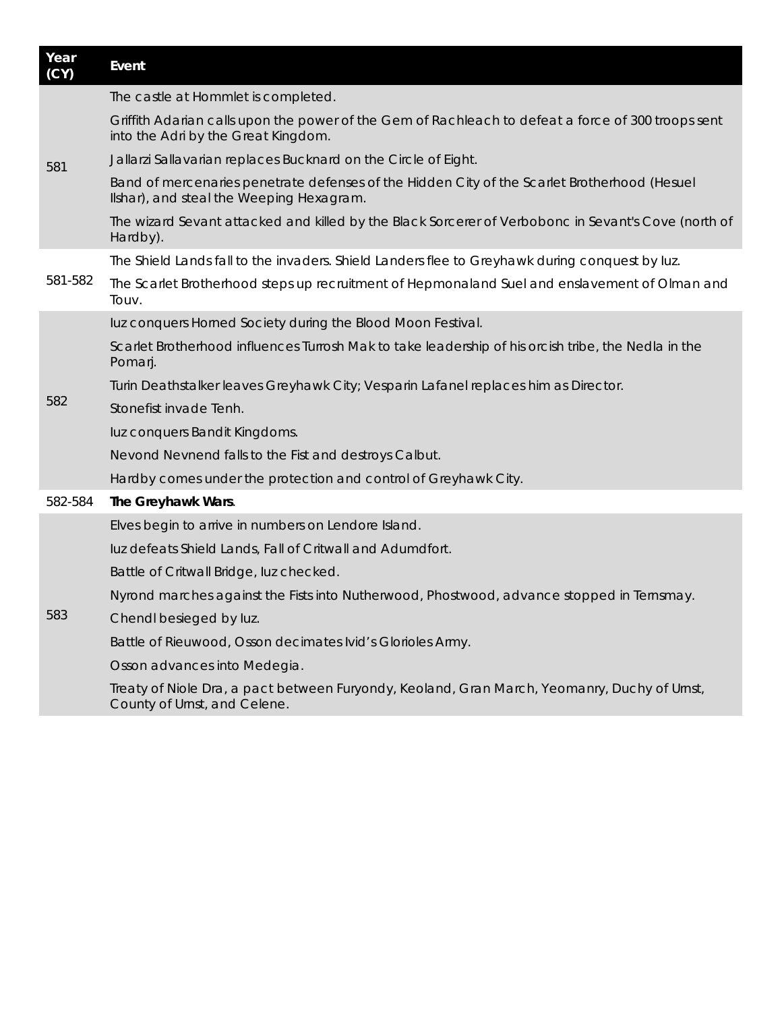| Year<br>(CY) | Event                                                                                                                                     |
|--------------|-------------------------------------------------------------------------------------------------------------------------------------------|
| 581          | The castle at Hommlet is completed.                                                                                                       |
|              | Griffith Adarian calls upon the power of the Gem of Rachleach to defeat a force of 300 troops sent<br>into the Adri by the Great Kingdom. |
|              | Jallarzi Sallavarian replaces Bucknard on the Circle of Eight.                                                                            |
|              | Band of mercenaries penetrate defenses of the Hidden City of the Scarlet Brotherhood (Hesuel<br>Ilshar), and steal the Weeping Hexagram.  |
|              | The wizard Sevant attacked and killed by the Black Sorcerer of Verbobonc in Sevant's Cove (north of<br>Hardby).                           |
|              | The Shield Lands fall to the invaders. Shield Landers flee to Greyhawk during conquest by luz.                                            |
| 581-582      | The Scarlet Brotherhood steps up recruitment of Hepmonaland Suel and enslavement of Olman and<br>Touv.                                    |
|              | luz conquers Horned Society during the Blood Moon Festival.                                                                               |
|              | Scarlet Brotherhood influences Turrosh Mak to take leadership of his orcish tribe, the Nedla in the<br>Pomarj.                            |
|              | Turin Deathstalker leaves Greyhawk City; Vesparin Lafanel replaces him as Director.                                                       |
| 582          | Stonefist invade Tenh.                                                                                                                    |
|              | luz conquers Bandit Kingdoms.                                                                                                             |
|              | Nevond Nevnend falls to the Fist and destroys Calbut.                                                                                     |
|              | Hardby comes under the protection and control of Greyhawk City.                                                                           |
| 582-584      | The Greyhawk Wars.                                                                                                                        |
|              | Elves begin to arrive in numbers on Lendore Island.                                                                                       |
|              | luz defeats Shield Lands, Fall of Critwall and Adumdfort.                                                                                 |
|              | Battle of Critwall Bridge, luz checked.                                                                                                   |
|              | Nyrond marches against the Fists into Nutherwood, Phostwood, advance stopped in Ternsmay.                                                 |
| 583          | Chendl besieged by luz.                                                                                                                   |
|              | Battle of Rieuwood, Osson decimates Ivid's Glorioles Army.                                                                                |
|              | Osson advances into Medegia.                                                                                                              |
|              | Treaty of Niole Dra, a pact between Furyondy, Keoland, Gran March, Yeomanry, Duchy of Urnst,<br>County of Urnst, and Celene.              |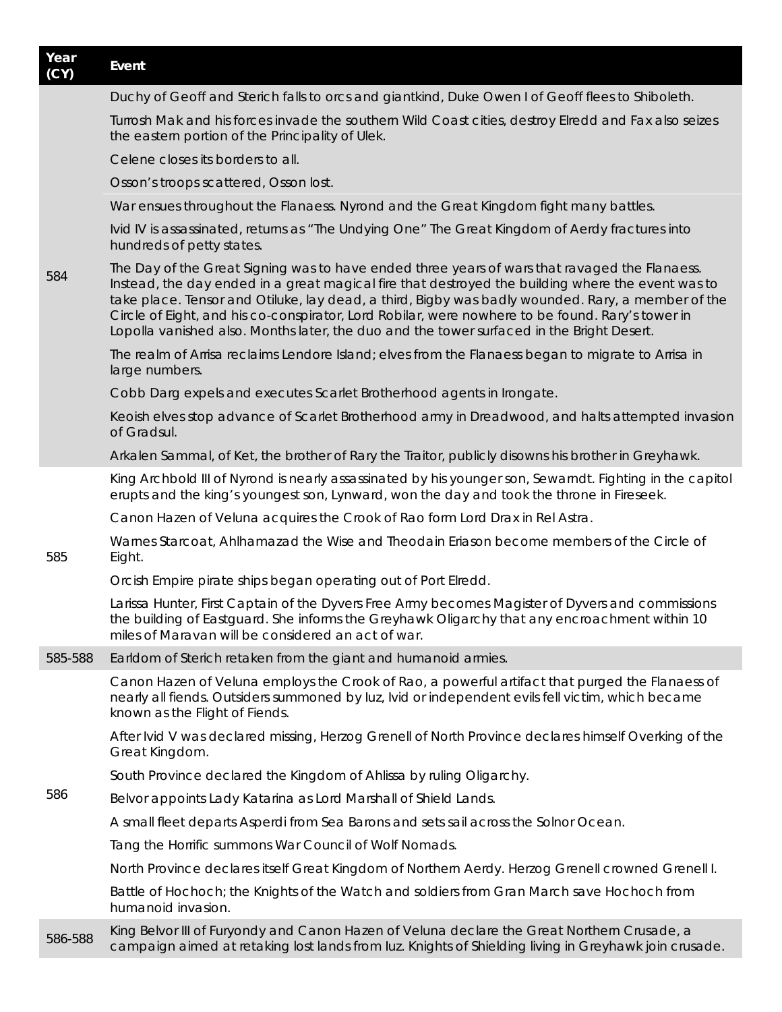| Year<br>(CY) | Event                                                                                                                                                                                                                                                                                                                                                                                                                                                                                                    |
|--------------|----------------------------------------------------------------------------------------------------------------------------------------------------------------------------------------------------------------------------------------------------------------------------------------------------------------------------------------------------------------------------------------------------------------------------------------------------------------------------------------------------------|
|              | Duchy of Geoff and Sterich falls to orcs and giantkind, Duke Owen I of Geoff flees to Shiboleth.                                                                                                                                                                                                                                                                                                                                                                                                         |
|              | Turrosh Mak and his forces invade the southern Wild Coast cities, destroy Elredd and Fax also seizes<br>the eastern portion of the Principality of Ulek.                                                                                                                                                                                                                                                                                                                                                 |
|              | Celene closes its borders to all.                                                                                                                                                                                                                                                                                                                                                                                                                                                                        |
|              | Osson's troops scattered, Osson lost.                                                                                                                                                                                                                                                                                                                                                                                                                                                                    |
|              | War ensues throughout the Flanaess. Nyrond and the Great Kingdom fight many battles.                                                                                                                                                                                                                                                                                                                                                                                                                     |
|              | Ivid IV is assassinated, returns as " The Undying One" The Great Kingdom of Aerdy fractures into<br>hundreds of petty states.                                                                                                                                                                                                                                                                                                                                                                            |
| 584          | The Day of the Great Signing was to have ended three years of wars that ravaged the Flanaess.<br>Instead, the day ended in a great magical fire that destroyed the building where the event was to<br>take place. Tensor and Otiluke, lay dead, a third, Bigby was badly wounded. Rary, a member of the<br>Circle of Eight, and his co-conspirator, Lord Robilar, were nowhere to be found. Rary's tower in<br>Lopolla vanished also. Months later, the duo and the tower surfaced in the Bright Desert. |
|              | The realm of Arrisa reclaims Lendore Island; elves from the Flanaess began to migrate to Arrisa in<br>large numbers.                                                                                                                                                                                                                                                                                                                                                                                     |
|              | Cobb Darg expels and executes Scarlet Brotherhood agents in Irongate.                                                                                                                                                                                                                                                                                                                                                                                                                                    |
|              | Keoish elves stop advance of Scarlet Brotherhood army in Dreadwood, and halts attempted invasion<br>of Gradsul.                                                                                                                                                                                                                                                                                                                                                                                          |
|              | Arkalen Sammal, of Ket, the brother of Rary the Traitor, publicly disowns his brother in Greyhawk.                                                                                                                                                                                                                                                                                                                                                                                                       |
|              | King Archbold III of Nyrond is nearly assassinated by his younger son, Sewarndt. Fighting in the capitol<br>erupts and the king's youngest son, Lynward, won the day and took the throne in Fireseek.                                                                                                                                                                                                                                                                                                    |
|              | Canon Hazen of Veluna acquires the Crook of Rao form Lord Drax in Rel Astra.                                                                                                                                                                                                                                                                                                                                                                                                                             |
| 585          | Warnes Starcoat, Ahlhamazad the Wise and Theodain Eriason become members of the Circle of<br>Eight.                                                                                                                                                                                                                                                                                                                                                                                                      |
|              | Orcish Empire pirate ships began operating out of Port Elredd.                                                                                                                                                                                                                                                                                                                                                                                                                                           |
|              | Larissa Hunter, First Captain of the Dyvers Free Army becomes Magister of Dyvers and commissions<br>the building of Eastguard. She informs the Greyhawk Oligarchy that any encroachment within 10<br>miles of Maravan will be considered an act of war.                                                                                                                                                                                                                                                  |
| 585-588      | Earldom of Sterich retaken from the giant and humanoid armies.                                                                                                                                                                                                                                                                                                                                                                                                                                           |
|              | Canon Hazen of Veluna employs the Crook of Rao, a powerful artifact that purged the Flanaess of<br>nearly all fiends. Outsiders summoned by /uz, Ivid or independent evils fell victim, which became<br>known as the Flight of Fiends.                                                                                                                                                                                                                                                                   |
|              | After Ivid V was declared missing, Herzog Grenell of North Province declares himself Overking of the<br>Great Kingdom.                                                                                                                                                                                                                                                                                                                                                                                   |
|              | South Province declared the Kingdom of Ahlissa by ruling Oligarchy.                                                                                                                                                                                                                                                                                                                                                                                                                                      |
| 586          | Belvor appoints Lady Katarina as Lord Marshall of Shield Lands.                                                                                                                                                                                                                                                                                                                                                                                                                                          |
|              | A small fleet departs Asperdi from Sea Barons and sets sail across the Solnor Ocean.                                                                                                                                                                                                                                                                                                                                                                                                                     |
|              | Tang the Horrific summons War Council of Wolf Nomads.                                                                                                                                                                                                                                                                                                                                                                                                                                                    |
|              | North Province declares itself Great Kingdom of Northern Aerdy. Herzog Grenell crowned Grenell I.                                                                                                                                                                                                                                                                                                                                                                                                        |
|              | Battle of Hochoch; the Knights of the Watch and soldiers from Gran March save Hochoch from<br>humanoid invasion.                                                                                                                                                                                                                                                                                                                                                                                         |
| 586-588      | King Belvor III of Furyondy and Canon Hazen of Veluna declare the Great Northern Crusade, a<br>campaign aimed at retaking lost lands from luz. Knights of Shielding living in Greyhawk join crusade.                                                                                                                                                                                                                                                                                                     |